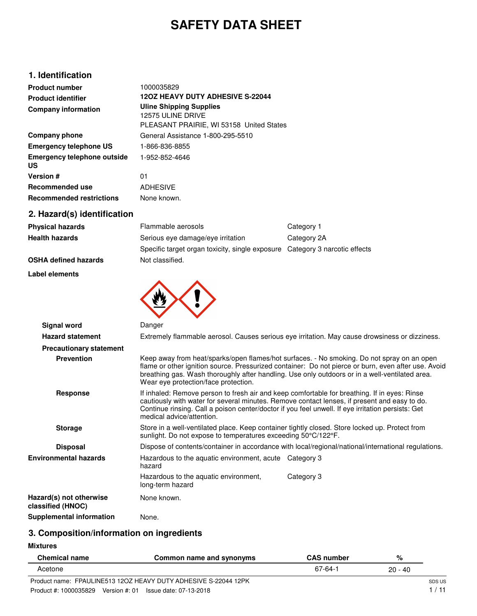# **SAFETY DATA SHEET**

# **1. Identification**

| <b>Product number</b><br><b>Product identifier</b><br><b>Company information</b> | 1000035829<br><b>120Z HEAVY DUTY ADHESIVE S-22044</b><br><b>Uline Shipping Supplies</b><br>12575 ULINE DRIVE<br>PLEASANT PRAIRIE, WI 53158 United States |
|----------------------------------------------------------------------------------|----------------------------------------------------------------------------------------------------------------------------------------------------------|
| Company phone                                                                    | General Assistance 1-800-295-5510                                                                                                                        |
| <b>Emergency telephone US</b>                                                    | 1-866-836-8855                                                                                                                                           |
| <b>Emergency telephone outside</b><br><b>US</b>                                  | 1-952-852-4646                                                                                                                                           |
| Version #                                                                        | 01                                                                                                                                                       |
| Recommended use                                                                  | <b>ADHESIVE</b>                                                                                                                                          |
| <b>Recommended restrictions</b>                                                  | None known.                                                                                                                                              |
|                                                                                  |                                                                                                                                                          |

**2. Hazard(s) identification**

| .w=w. w <sub>\</sub> w, .      |                                                                                                                                                                                                                                                                                                                                |                                                                                                                                                                                                                                                                                                     |  |
|--------------------------------|--------------------------------------------------------------------------------------------------------------------------------------------------------------------------------------------------------------------------------------------------------------------------------------------------------------------------------|-----------------------------------------------------------------------------------------------------------------------------------------------------------------------------------------------------------------------------------------------------------------------------------------------------|--|
| <b>Physical hazards</b>        | Flammable aerosols                                                                                                                                                                                                                                                                                                             | Category 1                                                                                                                                                                                                                                                                                          |  |
| <b>Health hazards</b>          | Serious eye damage/eye irritation                                                                                                                                                                                                                                                                                              | Category 2A                                                                                                                                                                                                                                                                                         |  |
|                                | Specific target organ toxicity, single exposure Category 3 narcotic effects                                                                                                                                                                                                                                                    |                                                                                                                                                                                                                                                                                                     |  |
| <b>OSHA defined hazards</b>    | Not classified.                                                                                                                                                                                                                                                                                                                |                                                                                                                                                                                                                                                                                                     |  |
| Label elements                 |                                                                                                                                                                                                                                                                                                                                |                                                                                                                                                                                                                                                                                                     |  |
|                                |                                                                                                                                                                                                                                                                                                                                |                                                                                                                                                                                                                                                                                                     |  |
| <b>Signal word</b>             | Danger                                                                                                                                                                                                                                                                                                                         |                                                                                                                                                                                                                                                                                                     |  |
| <b>Hazard statement</b>        | Extremely flammable aerosol. Causes serious eye irritation. May cause drowsiness or dizziness.                                                                                                                                                                                                                                 |                                                                                                                                                                                                                                                                                                     |  |
| <b>Precautionary statement</b> |                                                                                                                                                                                                                                                                                                                                |                                                                                                                                                                                                                                                                                                     |  |
| <b>Prevention</b>              | Wear eve protection/face protection.                                                                                                                                                                                                                                                                                           | Keep away from heat/sparks/open flames/hot surfaces. - No smoking. Do not spray on an open<br>flame or other ignition source. Pressurized container: Do not pierce or burn, even after use. Avoid<br>breathing gas. Wash thoroughly after handling. Use only outdoors or in a well-ventilated area. |  |
| <b>Response</b>                | If inhaled: Remove person to fresh air and keep comfortable for breathing. If in eyes: Rinse<br>cautiously with water for several minutes. Remove contact lenses, if present and easy to do.<br>Continue rinsing. Call a poison center/doctor if you feel unwell. If eye irritation persists: Get<br>medical advice/attention. |                                                                                                                                                                                                                                                                                                     |  |
| <b>Storage</b>                 | Store in a well-ventilated place. Keep container tightly closed. Store locked up. Protect from<br>sunlight. Do not expose to temperatures exceeding 50°C/122°F.                                                                                                                                                                |                                                                                                                                                                                                                                                                                                     |  |
| <b>Disposal</b>                |                                                                                                                                                                                                                                                                                                                                | Dispose of contents/container in accordance with local/regional/national/international regulations.                                                                                                                                                                                                 |  |
| <b>Environmental hazards</b>   | Hazardous to the aquatic environment, acute Category 3<br>hazard                                                                                                                                                                                                                                                               |                                                                                                                                                                                                                                                                                                     |  |
|                                | Hazardous to the aquatic environment.                                                                                                                                                                                                                                                                                          | Category 3                                                                                                                                                                                                                                                                                          |  |

|                                              | <b>Hazardous</b> to the aquatic environment,<br>long-term hazard | <b>U</b> alcybry U |
|----------------------------------------------|------------------------------------------------------------------|--------------------|
| Hazard(s) not otherwise<br>classified (HNOC) | None known.                                                      |                    |
| Supplemental information                     | None.                                                            |                    |

# **3. Composition/information on ingredients**

**Mixtures**

| <b>Chemical name</b> | Common name and synonyms                                        | <b>CAS number</b> | %         |        |
|----------------------|-----------------------------------------------------------------|-------------------|-----------|--------|
| Acetone              |                                                                 | 67-64-1           | $20 - 40$ |        |
|                      | Product name: FPAULINE513 12OZ HEAVY DUTY ADHESIVE S-22044 12PK |                   |           | SDS US |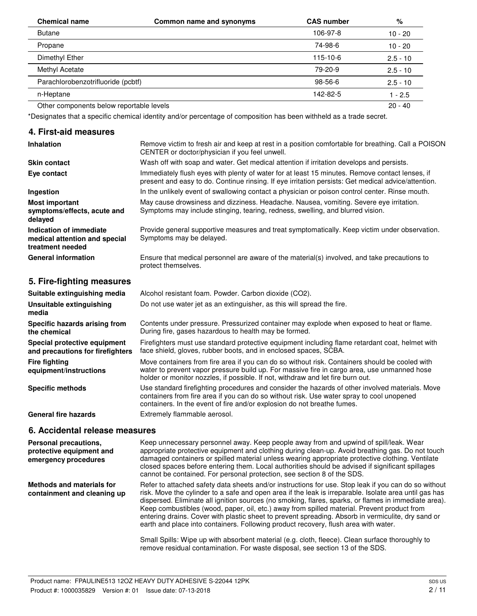| <b>Chemical name</b>                     | Common name and synonyms | <b>CAS number</b> | %          |
|------------------------------------------|--------------------------|-------------------|------------|
| <b>Butane</b>                            |                          | 106-97-8          | $10 - 20$  |
| Propane                                  |                          | 74-98-6           | $10 - 20$  |
| Dimethyl Ether                           |                          | 115-10-6          | $2.5 - 10$ |
| Methyl Acetate                           |                          | 79-20-9           | $2.5 - 10$ |
| Parachlorobenzotrifluoride (pcbtf)       |                          | 98-56-6           | $2.5 - 10$ |
| n-Heptane                                |                          | 142-82-5          | $1 - 2.5$  |
| Other components below reportable levels |                          |                   | $20 - 40$  |

\*Designates that a specific chemical identity and/or percentage of composition has been withheld as a trade secret.

## **4. First-aid measures**

| <b>Inhalation</b>                                                            | Remove victim to fresh air and keep at rest in a position comfortable for breathing. Call a POISON<br>CENTER or doctor/physician if you feel unwell.                                                  |  |
|------------------------------------------------------------------------------|-------------------------------------------------------------------------------------------------------------------------------------------------------------------------------------------------------|--|
| <b>Skin contact</b>                                                          | Wash off with soap and water. Get medical attention if irritation develops and persists.                                                                                                              |  |
| Eye contact                                                                  | Immediately flush eyes with plenty of water for at least 15 minutes. Remove contact lenses, if<br>present and easy to do. Continue rinsing. If eye irritation persists: Get medical advice/attention. |  |
| Ingestion                                                                    | In the unlikely event of swallowing contact a physician or poison control center. Rinse mouth.                                                                                                        |  |
| <b>Most important</b><br>symptoms/effects, acute and<br>delayed              | May cause drowsiness and dizziness. Headache. Nausea, vomiting. Severe eye irritation.<br>Symptoms may include stinging, tearing, redness, swelling, and blurred vision.                              |  |
| Indication of immediate<br>medical attention and special<br>treatment needed | Provide general supportive measures and treat symptomatically. Keep victim under observation.<br>Symptoms may be delayed.                                                                             |  |
| <b>General information</b>                                                   | Ensure that medical personnel are aware of the material(s) involved, and take precautions to<br>protect themselves.                                                                                   |  |
| 5. Fire-fighting measures                                                    |                                                                                                                                                                                                       |  |
| Suitable extinguishing media                                                 | Alcohol resistant foam. Powder. Carbon dioxide (CO2).                                                                                                                                                 |  |
| Unsuitable extinguishing<br>media                                            | Do not use water jet as an extinguisher, as this will spread the fire.                                                                                                                                |  |
| Specific hazards arising from<br>the chemical                                | Contents under pressure. Pressurized container may explode when exposed to heat or flame.<br>During fire, gases hazardous to health may be formed.                                                    |  |
| Special protective equipment<br>and precautions for firefighters             | Firefighters must use standard protective equipment including flame retardant coat, helmet with<br>face shield, gloves, rubber boots, and in enclosed spaces, SCBA.                                   |  |

Move containers from fire area if you can do so without risk. Containers should be cooled with water to prevent vapor pressure build up. For massive fire in cargo area, use unmanned hose holder or monitor nozzles, if possible. If not, withdraw and let fire burn out. **equipment/instructions**

Use standard firefighting procedures and consider the hazards of other involved materials. Move containers from fire area if you can do so without risk. Use water spray to cool unopened containers. In the event of fire and/or explosion do not breathe fumes. **Specific methods**

General fire hazards **Extremely flammable aerosol.** 

# **6. Accidental release measures**

**Fire fighting**

| Personal precautions,<br>protective equipment and<br>emergency procedures | Keep unnecessary personnel away. Keep people away from and upwind of spill/leak. Wear<br>appropriate protective equipment and clothing during clean-up. Avoid breathing gas. Do not touch<br>damaged containers or spilled material unless wearing appropriate protective clothing. Ventilate<br>closed spaces before entering them. Local authorities should be advised if significant spillages<br>cannot be contained. For personal protection, see section 8 of the SDS.                                                                                                                                       |
|---------------------------------------------------------------------------|--------------------------------------------------------------------------------------------------------------------------------------------------------------------------------------------------------------------------------------------------------------------------------------------------------------------------------------------------------------------------------------------------------------------------------------------------------------------------------------------------------------------------------------------------------------------------------------------------------------------|
| Methods and materials for<br>containment and cleaning up                  | Refer to attached safety data sheets and/or instructions for use. Stop leak if you can do so without<br>risk. Move the cylinder to a safe and open area if the leak is irreparable. Isolate area until gas has<br>dispersed. Eliminate all ignition sources (no smoking, flares, sparks, or flames in immediate area).<br>Keep combustibles (wood, paper, oil, etc.) away from spilled material. Prevent product from<br>entering drains. Cover with plastic sheet to prevent spreading. Absorb in vermiculite, dry sand or<br>earth and place into containers. Following product recovery, flush area with water. |
|                                                                           | Small Spills: Wipe up with absorbent material (e.g. cloth, fleece). Clean surface thoroughly to<br>remove residual contamination. For waste disposal, see section 13 of the SDS.                                                                                                                                                                                                                                                                                                                                                                                                                                   |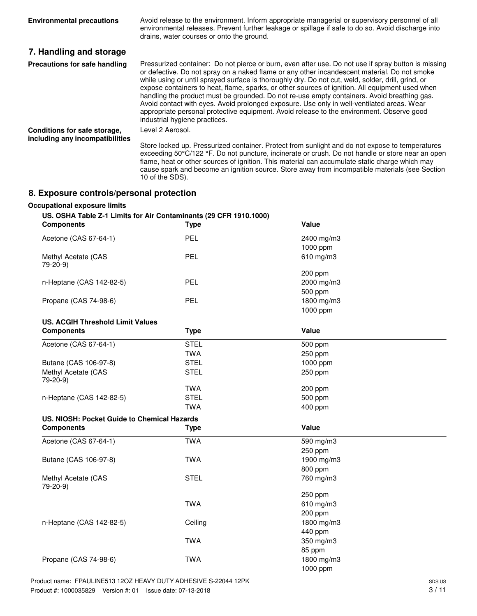| <b>Environmental precautions</b>                                | Avoid release to the environment. Inform appropriate managerial or supervisory personnel of all<br>environmental releases. Prevent further leakage or spillage if safe to do so. Avoid discharge into<br>drains, water courses or onto the ground.                                                                                                                                                                                                                                                                                                                                                                                                                                                                                      |
|-----------------------------------------------------------------|-----------------------------------------------------------------------------------------------------------------------------------------------------------------------------------------------------------------------------------------------------------------------------------------------------------------------------------------------------------------------------------------------------------------------------------------------------------------------------------------------------------------------------------------------------------------------------------------------------------------------------------------------------------------------------------------------------------------------------------------|
| 7. Handling and storage                                         |                                                                                                                                                                                                                                                                                                                                                                                                                                                                                                                                                                                                                                                                                                                                         |
| Precautions for safe handling                                   | Pressurized container: Do not pierce or burn, even after use. Do not use if spray button is missing<br>or defective. Do not spray on a naked flame or any other incandescent material. Do not smoke<br>while using or until sprayed surface is thoroughly dry. Do not cut, weld, solder, drill, grind, or<br>expose containers to heat, flame, sparks, or other sources of ignition. All equipment used when<br>handling the product must be grounded. Do not re-use empty containers. Avoid breathing gas.<br>Avoid contact with eyes. Avoid prolonged exposure. Use only in well-ventilated areas. Wear<br>appropriate personal protective equipment. Avoid release to the environment. Observe good<br>industrial hygiene practices. |
| Conditions for safe storage,<br>including any incompatibilities | Level 2 Aerosol.<br>Store locked up. Pressurized container. Protect from sunlight and do not expose to temperatures<br>exceeding 50°C/122 °F. Do not puncture, incinerate or crush. Do not handle or store near an open<br>flame, heat or other sources of ignition. This material can accumulate static charge which may<br>cause spark and become an ignition source. Store away from incompatible materials (see Section<br>10 of the SDS).                                                                                                                                                                                                                                                                                          |

# **8. Exposure controls/personal protection**

# **Occupational exposure limits**

# **US. OSHA Table Z-1 Limits for Air Contaminants (29 CFR 1910.1000)**

| <b>Components</b>                           | <b>Type</b> | Value      |  |
|---------------------------------------------|-------------|------------|--|
| Acetone (CAS 67-64-1)                       | PEL         | 2400 mg/m3 |  |
|                                             |             | 1000 ppm   |  |
| Methyl Acetate (CAS<br>79-20-9)             | <b>PEL</b>  | 610 mg/m3  |  |
|                                             |             | 200 ppm    |  |
| n-Heptane (CAS 142-82-5)                    | <b>PEL</b>  | 2000 mg/m3 |  |
|                                             |             | 500 ppm    |  |
| Propane (CAS 74-98-6)                       | <b>PEL</b>  | 1800 mg/m3 |  |
|                                             |             | 1000 ppm   |  |
| <b>US. ACGIH Threshold Limit Values</b>     |             |            |  |
| <b>Components</b>                           | <b>Type</b> | Value      |  |
| Acetone (CAS 67-64-1)                       | <b>STEL</b> | 500 ppm    |  |
|                                             | <b>TWA</b>  | 250 ppm    |  |
| Butane (CAS 106-97-8)                       | <b>STEL</b> | 1000 ppm   |  |
| Methyl Acetate (CAS<br>79-20-9)             | <b>STEL</b> | 250 ppm    |  |
|                                             | <b>TWA</b>  | 200 ppm    |  |
| n-Heptane (CAS 142-82-5)                    | <b>STEL</b> | 500 ppm    |  |
|                                             | <b>TWA</b>  | 400 ppm    |  |
| US. NIOSH: Pocket Guide to Chemical Hazards |             |            |  |
| <b>Components</b>                           | <b>Type</b> | Value      |  |
| Acetone (CAS 67-64-1)                       | <b>TWA</b>  | 590 mg/m3  |  |
|                                             |             | 250 ppm    |  |
| Butane (CAS 106-97-8)                       | <b>TWA</b>  | 1900 mg/m3 |  |
|                                             |             | 800 ppm    |  |
| Methyl Acetate (CAS<br>79-20-9)             | <b>STEL</b> | 760 mg/m3  |  |
|                                             |             | 250 ppm    |  |
|                                             | <b>TWA</b>  | 610 mg/m3  |  |
|                                             |             | 200 ppm    |  |
| n-Heptane (CAS 142-82-5)                    | Ceiling     | 1800 mg/m3 |  |
|                                             |             | 440 ppm    |  |
|                                             | <b>TWA</b>  | 350 mg/m3  |  |
|                                             |             | 85 ppm     |  |
| Propane (CAS 74-98-6)                       | <b>TWA</b>  | 1800 mg/m3 |  |
|                                             |             | 1000 ppm   |  |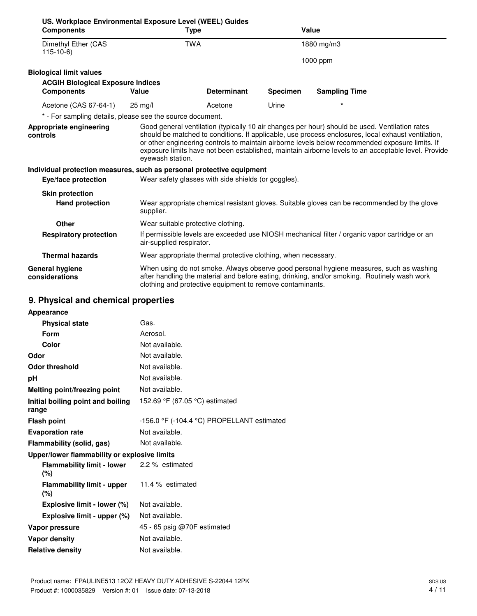| US. Workplace Environmental Exposure Level (WEEL) Guides<br><b>Components</b> |                          | <b>Type</b>                                                                                                                                                                                                                                                                                                                                                                                                    |                 | Value                |  |
|-------------------------------------------------------------------------------|--------------------------|----------------------------------------------------------------------------------------------------------------------------------------------------------------------------------------------------------------------------------------------------------------------------------------------------------------------------------------------------------------------------------------------------------------|-----------------|----------------------|--|
| Dimethyl Ether (CAS<br>$115-10-6$                                             | <b>TWA</b>               |                                                                                                                                                                                                                                                                                                                                                                                                                | 1880 mg/m3      |                      |  |
|                                                                               |                          |                                                                                                                                                                                                                                                                                                                                                                                                                |                 | 1000 ppm             |  |
| <b>Biological limit values</b>                                                |                          |                                                                                                                                                                                                                                                                                                                                                                                                                |                 |                      |  |
| <b>ACGIH Biological Exposure Indices</b>                                      |                          |                                                                                                                                                                                                                                                                                                                                                                                                                |                 |                      |  |
| <b>Components</b>                                                             | Value                    | <b>Determinant</b>                                                                                                                                                                                                                                                                                                                                                                                             | <b>Specimen</b> | <b>Sampling Time</b> |  |
| Acetone (CAS 67-64-1)                                                         | $25 \text{ mg/l}$        | Acetone                                                                                                                                                                                                                                                                                                                                                                                                        | Urine           | $\star$              |  |
| * - For sampling details, please see the source document.                     |                          |                                                                                                                                                                                                                                                                                                                                                                                                                |                 |                      |  |
| Appropriate engineering<br>controls                                           | eyewash station.         | Good general ventilation (typically 10 air changes per hour) should be used. Ventilation rates<br>should be matched to conditions. If applicable, use process enclosures, local exhaust ventilation,<br>or other engineering controls to maintain airborne levels below recommended exposure limits. If<br>exposure limits have not been established, maintain airborne levels to an acceptable level. Provide |                 |                      |  |
| Individual protection measures, such as personal protective equipment         |                          |                                                                                                                                                                                                                                                                                                                                                                                                                |                 |                      |  |
| Eye/face protection                                                           |                          | Wear safety glasses with side shields (or goggles).                                                                                                                                                                                                                                                                                                                                                            |                 |                      |  |
| <b>Skin protection</b>                                                        |                          |                                                                                                                                                                                                                                                                                                                                                                                                                |                 |                      |  |
| <b>Hand protection</b>                                                        | supplier.                | Wear appropriate chemical resistant gloves. Suitable gloves can be recommended by the glove                                                                                                                                                                                                                                                                                                                    |                 |                      |  |
| <b>Other</b>                                                                  |                          | Wear suitable protective clothing.                                                                                                                                                                                                                                                                                                                                                                             |                 |                      |  |
| <b>Respiratory protection</b>                                                 | air-supplied respirator. | If permissible levels are exceeded use NIOSH mechanical filter / organic vapor cartridge or an                                                                                                                                                                                                                                                                                                                 |                 |                      |  |
| <b>Thermal hazards</b>                                                        |                          | Wear appropriate thermal protective clothing, when necessary.                                                                                                                                                                                                                                                                                                                                                  |                 |                      |  |
| <b>General hygiene</b><br>considerations                                      |                          | When using do not smoke. Always observe good personal hygiene measures, such as washing<br>after handling the material and before eating, drinking, and/or smoking. Routinely wash work<br>clothing and protective equipment to remove contaminants.                                                                                                                                                           |                 |                      |  |
| 9. Physical and chemical properties                                           |                          |                                                                                                                                                                                                                                                                                                                                                                                                                |                 |                      |  |

# **9. Physical and chemical properties**

| Appearance                                   |                                            |
|----------------------------------------------|--------------------------------------------|
| <b>Physical state</b>                        | Gas.                                       |
| Form                                         | Aerosol.                                   |
| Color                                        | Not available.                             |
| Odor                                         | Not available.                             |
| <b>Odor threshold</b>                        | Not available.                             |
| рH                                           | Not available.                             |
| Melting point/freezing point                 | Not available.                             |
| Initial boiling point and boiling<br>range   | 152.69 °F (67.05 °C) estimated             |
| <b>Flash point</b>                           | -156.0 °F (-104.4 °C) PROPELLANT estimated |
| <b>Evaporation rate</b>                      | Not available.                             |
| Flammability (solid, gas)                    | Not available.                             |
| Upper/lower flammability or explosive limits |                                            |
| Flammability limit - lower<br>(%)            | 2.2 % estimated                            |
| Flammability limit - upper<br>(%)            | 11.4 % estimated                           |
| Explosive limit - lower (%)                  | Not available.                             |
| Explosive limit - upper (%)                  | Not available.                             |
| Vapor pressure                               | 45 - 65 psig @70F estimated                |
| <b>Vapor density</b>                         | Not available.                             |
| <b>Relative density</b>                      | Not available.                             |
|                                              |                                            |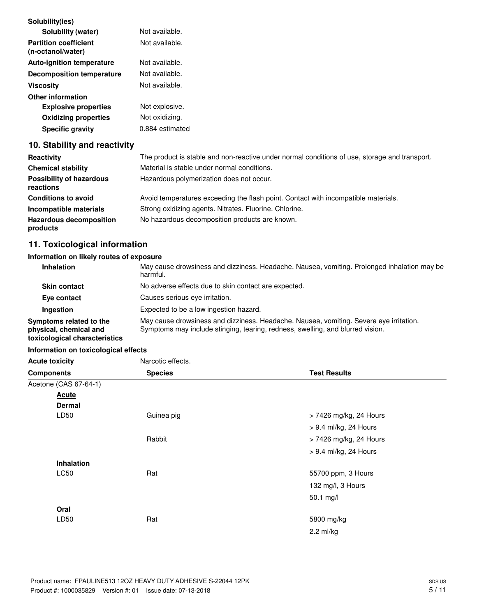| Solubility(ies)                                   |                 |
|---------------------------------------------------|-----------------|
| Solubility (water)                                | Not available.  |
| <b>Partition coefficient</b><br>(n-octanol/water) | Not available.  |
| <b>Auto-ignition temperature</b>                  | Not available.  |
| <b>Decomposition temperature</b>                  | Not available.  |
| Viscositv                                         | Not available.  |
| <b>Other information</b>                          |                 |
| <b>Explosive properties</b>                       | Not explosive.  |
| <b>Oxidizing properties</b>                       | Not oxidizing.  |
| <b>Specific gravity</b>                           | 0.884 estimated |

# **10. Stability and reactivity**

| Reactivity                                   | The product is stable and non-reactive under normal conditions of use, storage and transport. |
|----------------------------------------------|-----------------------------------------------------------------------------------------------|
| <b>Chemical stability</b>                    | Material is stable under normal conditions.                                                   |
| <b>Possibility of hazardous</b><br>reactions | Hazardous polymerization does not occur.                                                      |
| <b>Conditions to avoid</b>                   | Avoid temperatures exceeding the flash point. Contact with incompatible materials.            |
| Incompatible materials                       | Strong oxidizing agents. Nitrates. Fluorine. Chlorine.                                        |
| <b>Hazardous decomposition</b><br>products   | No hazardous decomposition products are known.                                                |

# **11. Toxicological information**

# **Information on likely routes of exposure**

| <b>Inhalation</b>                                                                  | May cause drowsiness and dizziness. Headache. Nausea, vomiting. Prolonged inhalation may be<br>harmful.                                                                  |
|------------------------------------------------------------------------------------|--------------------------------------------------------------------------------------------------------------------------------------------------------------------------|
| <b>Skin contact</b>                                                                | No adverse effects due to skin contact are expected.                                                                                                                     |
| Eye contact                                                                        | Causes serious eye irritation.                                                                                                                                           |
| Ingestion                                                                          | Expected to be a low ingestion hazard.                                                                                                                                   |
| Symptoms related to the<br>physical, chemical and<br>toxicological characteristics | May cause drowsiness and dizziness. Headache. Nausea, vomiting. Severe eye irritation.<br>Symptoms may include stinging, tearing, redness, swelling, and blurred vision. |

## **Information on toxicological effects**

| <b>Acute toxicity</b>               | Narcotic effects. |                        |  |
|-------------------------------------|-------------------|------------------------|--|
| <b>Species</b><br><b>Components</b> |                   | <b>Test Results</b>    |  |
| Acetone (CAS 67-64-1)               |                   |                        |  |
| <b>Acute</b>                        |                   |                        |  |
| <b>Dermal</b>                       |                   |                        |  |
| LD50                                | Guinea pig        | > 7426 mg/kg, 24 Hours |  |
|                                     |                   | > 9.4 ml/kg, 24 Hours  |  |
|                                     | Rabbit            | > 7426 mg/kg, 24 Hours |  |
|                                     |                   | > 9.4 ml/kg, 24 Hours  |  |
| <b>Inhalation</b>                   |                   |                        |  |
| LC50                                | Rat               | 55700 ppm, 3 Hours     |  |
|                                     |                   | 132 mg/l, 3 Hours      |  |
|                                     |                   | 50.1 mg/l              |  |
| Oral                                |                   |                        |  |
| LD50                                | Rat               | 5800 mg/kg             |  |
|                                     |                   | $2.2$ ml/kg            |  |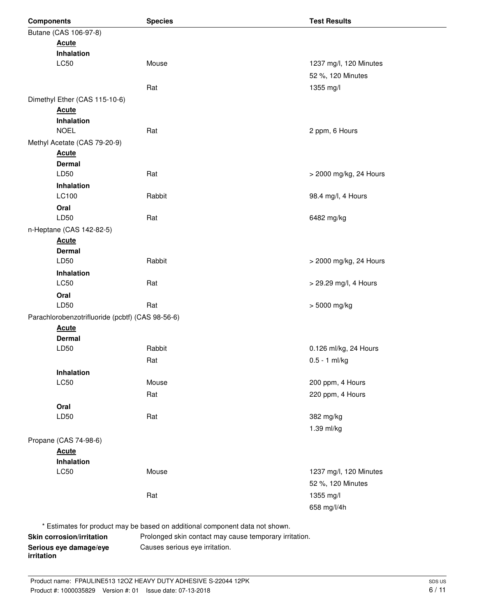| <b>Components</b>                                | <b>Test Results</b><br><b>Species</b>                                       |                        |  |  |
|--------------------------------------------------|-----------------------------------------------------------------------------|------------------------|--|--|
| Butane (CAS 106-97-8)                            |                                                                             |                        |  |  |
| <b>Acute</b>                                     |                                                                             |                        |  |  |
| Inhalation                                       |                                                                             |                        |  |  |
| <b>LC50</b>                                      | Mouse                                                                       | 1237 mg/l, 120 Minutes |  |  |
|                                                  |                                                                             | 52 %, 120 Minutes      |  |  |
|                                                  | Rat                                                                         | 1355 mg/l              |  |  |
| Dimethyl Ether (CAS 115-10-6)                    |                                                                             |                        |  |  |
| <b>Acute</b>                                     |                                                                             |                        |  |  |
| Inhalation                                       |                                                                             |                        |  |  |
| <b>NOEL</b>                                      | Rat                                                                         | 2 ppm, 6 Hours         |  |  |
| Methyl Acetate (CAS 79-20-9)                     |                                                                             |                        |  |  |
| <b>Acute</b>                                     |                                                                             |                        |  |  |
| <b>Dermal</b>                                    |                                                                             |                        |  |  |
| LD50                                             | Rat                                                                         | > 2000 mg/kg, 24 Hours |  |  |
| Inhalation                                       |                                                                             |                        |  |  |
| LC100                                            | Rabbit                                                                      | 98.4 mg/l, 4 Hours     |  |  |
| Oral<br>LD50                                     |                                                                             |                        |  |  |
|                                                  | Rat                                                                         | 6482 mg/kg             |  |  |
| n-Heptane (CAS 142-82-5)                         |                                                                             |                        |  |  |
| <b>Acute</b><br><b>Dermal</b>                    |                                                                             |                        |  |  |
| LD50                                             | Rabbit                                                                      | > 2000 mg/kg, 24 Hours |  |  |
| Inhalation                                       |                                                                             |                        |  |  |
| <b>LC50</b>                                      | Rat                                                                         | > 29.29 mg/l, 4 Hours  |  |  |
| Oral                                             |                                                                             |                        |  |  |
| LD50                                             | Rat                                                                         | > 5000 mg/kg           |  |  |
| Parachlorobenzotrifluoride (pcbtf) (CAS 98-56-6) |                                                                             |                        |  |  |
| <b>Acute</b>                                     |                                                                             |                        |  |  |
| <b>Dermal</b>                                    |                                                                             |                        |  |  |
| LD50                                             | Rabbit                                                                      | 0.126 ml/kg, 24 Hours  |  |  |
|                                                  | Rat                                                                         | $0.5 - 1$ ml/kg        |  |  |
| Inhalation                                       |                                                                             |                        |  |  |
| LC50                                             | Mouse                                                                       | 200 ppm, 4 Hours       |  |  |
|                                                  | Rat                                                                         | 220 ppm, 4 Hours       |  |  |
| Oral                                             |                                                                             |                        |  |  |
| LD50                                             | Rat                                                                         | 382 mg/kg              |  |  |
|                                                  |                                                                             | 1.39 ml/kg             |  |  |
| Propane (CAS 74-98-6)                            |                                                                             |                        |  |  |
| <b>Acute</b>                                     |                                                                             |                        |  |  |
| Inhalation                                       |                                                                             |                        |  |  |
| LC50                                             | Mouse                                                                       | 1237 mg/l, 120 Minutes |  |  |
|                                                  |                                                                             | 52 %, 120 Minutes      |  |  |
|                                                  | Rat                                                                         | 1355 mg/l              |  |  |
|                                                  |                                                                             | 658 mg/l/4h            |  |  |
|                                                  | * Estimates for product may be based on additional component data not shown |                        |  |  |

Estimates for product may be based on additional component data not shown.

Serious eye damage/eye **Causes serious eye irritation**. **irritation**

**Skin corrosion/irritation** Prolonged skin contact may cause temporary irritation.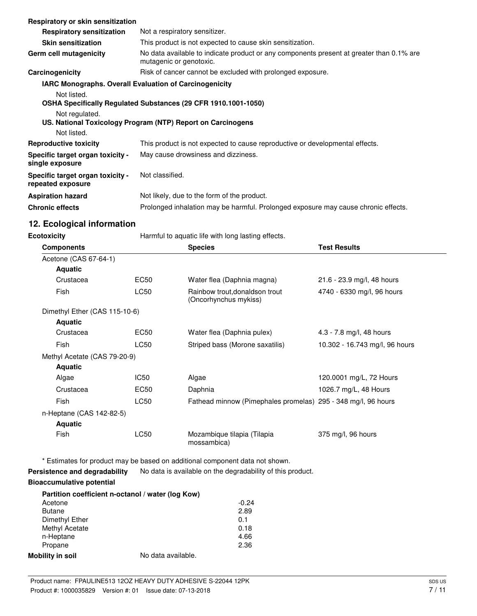| Respiratory or skin sensitization                              |                                                                                                                     |  |
|----------------------------------------------------------------|---------------------------------------------------------------------------------------------------------------------|--|
| <b>Respiratory sensitization</b>                               | Not a respiratory sensitizer.                                                                                       |  |
| <b>Skin sensitization</b>                                      | This product is not expected to cause skin sensitization.                                                           |  |
| Germ cell mutagenicity                                         | No data available to indicate product or any components present at greater than 0.1% are<br>mutagenic or genotoxic. |  |
| Carcinogenicity                                                | Risk of cancer cannot be excluded with prolonged exposure.                                                          |  |
| <b>IARC Monographs. Overall Evaluation of Carcinogenicity</b>  |                                                                                                                     |  |
| Not listed.                                                    |                                                                                                                     |  |
| OSHA Specifically Regulated Substances (29 CFR 1910.1001-1050) |                                                                                                                     |  |
| Not regulated.                                                 |                                                                                                                     |  |
|                                                                | US. National Toxicology Program (NTP) Report on Carcinogens                                                         |  |
| Not listed.                                                    |                                                                                                                     |  |
| <b>Reproductive toxicity</b>                                   | This product is not expected to cause reproductive or developmental effects.                                        |  |
| Specific target organ toxicity -<br>single exposure            | May cause drowsiness and dizziness.                                                                                 |  |
| Specific target organ toxicity -<br>repeated exposure          | Not classified.                                                                                                     |  |
| <b>Aspiration hazard</b>                                       | Not likely, due to the form of the product.                                                                         |  |
| <b>Chronic effects</b>                                         | Prolonged inhalation may be harmful. Prolonged exposure may cause chronic effects.                                  |  |

# **12. Ecological information**

**Ecotoxicity Harmful to aquatic life with long lasting effects.** 

| <b>Components</b>             |             | <b>Species</b>                                                | <b>Test Results</b>            |
|-------------------------------|-------------|---------------------------------------------------------------|--------------------------------|
| Acetone (CAS 67-64-1)         |             |                                                               |                                |
| <b>Aquatic</b>                |             |                                                               |                                |
| Crustacea                     | EC50        | Water flea (Daphnia magna)                                    | 21.6 - 23.9 mg/l, 48 hours     |
| Fish                          | LC50        | Rainbow trout, donaldson trout<br>(Oncorhynchus mykiss)       | 4740 - 6330 mg/l, 96 hours     |
| Dimethyl Ether (CAS 115-10-6) |             |                                                               |                                |
| Aquatic                       |             |                                                               |                                |
| Crustacea                     | EC50        | Water flea (Daphnia pulex)                                    | 4.3 - 7.8 mg/l, 48 hours       |
| Fish                          | LC50        | Striped bass (Morone saxatilis)                               | 10.302 - 16.743 mg/l, 96 hours |
| Methyl Acetate (CAS 79-20-9)  |             |                                                               |                                |
| <b>Aquatic</b>                |             |                                                               |                                |
| Algae                         | IC50        | Algae                                                         | 120.0001 mg/L, 72 Hours        |
| Crustacea                     | EC50        | Daphnia                                                       | 1026.7 mg/L, 48 Hours          |
| Fish                          | LC50        | Fathead minnow (Pimephales promelas) 295 - 348 mg/l, 96 hours |                                |
| n-Heptane (CAS 142-82-5)      |             |                                                               |                                |
| <b>Aquatic</b>                |             |                                                               |                                |
| <b>Fish</b>                   | <b>LC50</b> | Mozambique tilapia (Tilapia<br>mossambica)                    | 375 mg/l, 96 hours             |

\* Estimates for product may be based on additional component data not shown.

**Persistence and degradability** No data is available on the degradability of this product.

# **Bioaccumulative potential**

| Partition coefficient n-octanol / water (log Kow) |                    |         |
|---------------------------------------------------|--------------------|---------|
| Acetone                                           |                    | $-0.24$ |
| <b>Butane</b>                                     |                    | 2.89    |
| Dimethyl Ether                                    |                    | 0.1     |
| Methyl Acetate                                    |                    | 0.18    |
| n-Heptane                                         |                    | 4.66    |
| Propane                                           |                    | 2.36    |
| <b>Mobility in soil</b>                           | No data available. |         |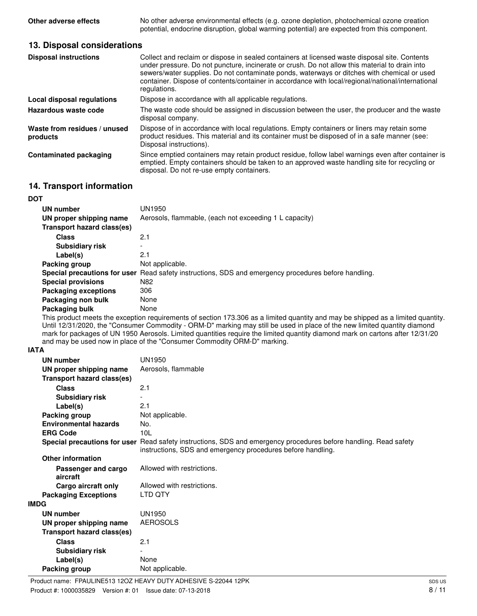**Other adverse effects** No other adverse environmental effects (e.g. ozone depletion, photochemical ozone creation potential, endocrine disruption, global warming potential) are expected from this component.

## **13. Disposal considerations**

| <b>Disposal instructions</b>             | Collect and reclaim or dispose in sealed containers at licensed waste disposal site. Contents<br>under pressure. Do not puncture, incinerate or crush. Do not allow this material to drain into<br>sewers/water supplies. Do not contaminate ponds, waterways or ditches with chemical or used<br>container. Dispose of contents/container in accordance with local/regional/national/international<br>regulations. |
|------------------------------------------|---------------------------------------------------------------------------------------------------------------------------------------------------------------------------------------------------------------------------------------------------------------------------------------------------------------------------------------------------------------------------------------------------------------------|
| Local disposal regulations               | Dispose in accordance with all applicable regulations.                                                                                                                                                                                                                                                                                                                                                              |
| Hazardous waste code                     | The waste code should be assigned in discussion between the user, the producer and the waste<br>disposal company.                                                                                                                                                                                                                                                                                                   |
| Waste from residues / unused<br>products | Dispose of in accordance with local regulations. Empty containers or liners may retain some<br>product residues. This material and its container must be disposed of in a safe manner (see:<br>Disposal instructions).                                                                                                                                                                                              |
| <b>Contaminated packaging</b>            | Since emptied containers may retain product residue, follow label warnings even after container is<br>emptied. Empty containers should be taken to an approved waste handling site for recycling or<br>disposal. Do not re-use empty containers.                                                                                                                                                                    |

# **14. Transport information**

| <b>DOT</b>                  |                                                                                                      |
|-----------------------------|------------------------------------------------------------------------------------------------------|
| UN number                   | UN1950                                                                                               |
| UN proper shipping name     | Aerosols, flammable, (each not exceeding 1 L capacity)                                               |
| Transport hazard class(es)  |                                                                                                      |
| Class                       | 2.1                                                                                                  |
| <b>Subsidiary risk</b>      | $\overline{\phantom{0}}$                                                                             |
| Label(s)                    | 2.1                                                                                                  |
| Packing group               | Not applicable.                                                                                      |
|                             | Special precautions for user Read safety instructions, SDS and emergency procedures before handling. |
| <b>Special provisions</b>   | N82                                                                                                  |
| <b>Packaging exceptions</b> | 306                                                                                                  |
| Packaging non bulk          | None                                                                                                 |
| Packaging bulk              | None                                                                                                 |

This product meets the exception requirements of section 173.306 as a limited quantity and may be shipped as a limited quantity. Until 12/31/2020, the "Consumer Commodity - ORM-D" marking may still be used in place of the new limited quantity diamond mark for packages of UN 1950 Aerosols. Limited quantities require the limited quantity diamond mark on cartons after 12/31/20 and may be used now in place of the "Consumer Commodity ORM-D" marking.

**IATA**

|             | UN number                         | UN1950                                                                                                                                                                          |
|-------------|-----------------------------------|---------------------------------------------------------------------------------------------------------------------------------------------------------------------------------|
|             | UN proper shipping name           | Aerosols, flammable                                                                                                                                                             |
|             | <b>Transport hazard class(es)</b> |                                                                                                                                                                                 |
|             | <b>Class</b>                      | 2.1                                                                                                                                                                             |
|             | <b>Subsidiary risk</b>            |                                                                                                                                                                                 |
|             | Label(s)                          | 2.1                                                                                                                                                                             |
|             | Packing group                     | Not applicable.                                                                                                                                                                 |
|             | <b>Environmental hazards</b>      | No.                                                                                                                                                                             |
|             | <b>ERG Code</b>                   | 10 <sub>L</sub>                                                                                                                                                                 |
|             |                                   | Special precautions for user Read safety instructions, SDS and emergency procedures before handling. Read safety<br>instructions, SDS and emergency procedures before handling. |
|             | <b>Other information</b>          |                                                                                                                                                                                 |
|             | Passenger and cargo<br>aircraft   | Allowed with restrictions.                                                                                                                                                      |
|             | Cargo aircraft only               | Allowed with restrictions.                                                                                                                                                      |
|             | <b>Packaging Exceptions</b>       | LTD QTY                                                                                                                                                                         |
| <b>IMDG</b> |                                   |                                                                                                                                                                                 |
|             | UN number                         | UN1950                                                                                                                                                                          |
|             | UN proper shipping name           | <b>AEROSOLS</b>                                                                                                                                                                 |
|             | Transport hazard class(es)        |                                                                                                                                                                                 |
|             | <b>Class</b>                      | 2.1                                                                                                                                                                             |
|             | <b>Subsidiary risk</b>            |                                                                                                                                                                                 |
|             | Label(s)                          | None                                                                                                                                                                            |
|             | Packing group                     | Not applicable.                                                                                                                                                                 |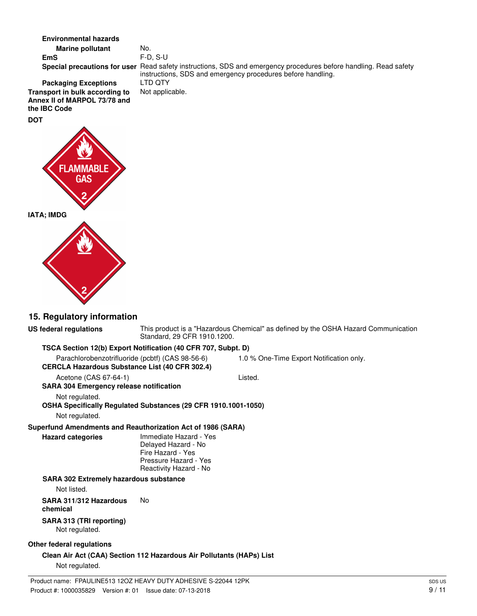**Environmental hazards**

**Marine pollutant** No. **EmS** F-D, S-U Special precautions for user Read safety instructions, SDS and emergency procedures before handling. Read safety instructions, SDS and emergency procedures before handling. **Packaging Exceptions** LTD QTY<br>**nsport in bulk according to** Not applicable.

**Transport in bulk according to Annex II of MARPOL 73/78 and the IBC Code DOT**



# **15. Regulatory information**

| US federal regulations                                                | Standard, 29 CFR 1910.1200.                                                                                           | This product is a "Hazardous Chemical" as defined by the OSHA Hazard Communication |
|-----------------------------------------------------------------------|-----------------------------------------------------------------------------------------------------------------------|------------------------------------------------------------------------------------|
| TSCA Section 12(b) Export Notification (40 CFR 707, Subpt. D)         |                                                                                                                       |                                                                                    |
| Parachlorobenzotrifluoride (pcbtf) (CAS 98-56-6)                      |                                                                                                                       | 1.0 % One-Time Export Notification only.                                           |
| CERCLA Hazardous Substance List (40 CFR 302.4)                        |                                                                                                                       |                                                                                    |
| Acetone (CAS 67-64-1)                                                 |                                                                                                                       | Listed.                                                                            |
| <b>SARA 304 Emergency release notification</b>                        |                                                                                                                       |                                                                                    |
| Not regulated.                                                        |                                                                                                                       |                                                                                    |
| OSHA Specifically Regulated Substances (29 CFR 1910.1001-1050)        |                                                                                                                       |                                                                                    |
| Not regulated.                                                        |                                                                                                                       |                                                                                    |
| Superfund Amendments and Reauthorization Act of 1986 (SARA)           |                                                                                                                       |                                                                                    |
| <b>Hazard categories</b>                                              | Immediate Hazard - Yes<br>Delayed Hazard - No<br>Fire Hazard - Yes<br>Pressure Hazard - Yes<br>Reactivity Hazard - No |                                                                                    |
| <b>SARA 302 Extremely hazardous substance</b>                         |                                                                                                                       |                                                                                    |
| Not listed.                                                           |                                                                                                                       |                                                                                    |
| SARA 311/312 Hazardous<br>chemical                                    | No                                                                                                                    |                                                                                    |
| SARA 313 (TRI reporting)<br>Not regulated.                            |                                                                                                                       |                                                                                    |
| Other federal regulations                                             |                                                                                                                       |                                                                                    |
| Clean Air Act (CAA) Section 112 Hazardous Air Pollutants (HAPs) List  |                                                                                                                       |                                                                                    |
| Not regulated.                                                        |                                                                                                                       |                                                                                    |
| Deadupt agency. FRAULINE F40 4007 UE AVA/ DUTV ADUE OUE O 00044 40DIZ |                                                                                                                       |                                                                                    |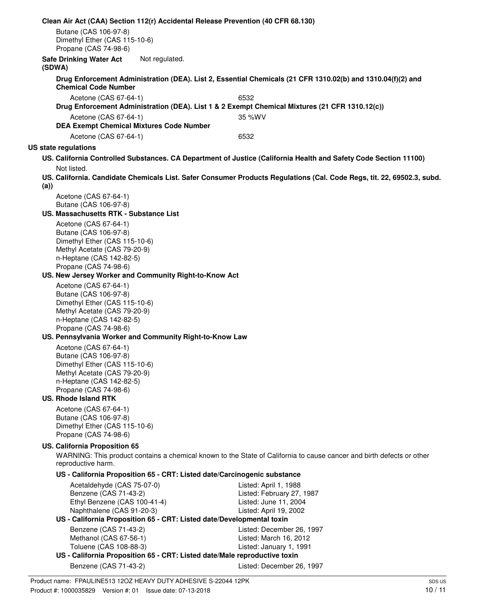**Clean Air Act (CAA) Section 112(r) Accidental Release Prevention (40 CFR 68.130)** Butane (CAS 106-97-8) Dimethyl Ether (CAS 115-10-6) Propane (CAS 74-98-6) **Safe Drinking Water Act** Not regulated. **(SDWA) Drug Enforcement Administration (DEA). List 2, Essential Chemicals (21 CFR 1310.02(b) and 1310.04(f)(2) and Chemical Code Number** Acetone (CAS 67-64-1) 6532 **Drug Enforcement Administration (DEA). List 1 & 2 Exempt Chemical Mixtures (21 CFR 1310.12(c))** Acetone (CAS 67-64-1) 35 %WV **DEA Exempt Chemical Mixtures Code Number** Acetone (CAS 67-64-1) 6532 **US state regulations US. California Controlled Substances. CA Department of Justice (California Health and Safety Code Section 11100)** Not listed. **US. California. Candidate Chemicals List. Safer Consumer Products Regulations (Cal. Code Regs, tit. 22, 69502.3, subd. (a))** Acetone (CAS 67-64-1) Butane (CAS 106-97-8) **US. Massachusetts RTK - Substance List** Acetone (CAS 67-64-1) Butane (CAS 106-97-8) Dimethyl Ether (CAS 115-10-6) Methyl Acetate (CAS 79-20-9) n-Heptane (CAS 142-82-5) Propane (CAS 74-98-6) **US. New Jersey Worker and Community Right-to-Know Act** Acetone (CAS 67-64-1) Butane (CAS 106-97-8) Dimethyl Ether (CAS 115-10-6) Methyl Acetate (CAS 79-20-9) n-Heptane (CAS 142-82-5) Propane (CAS 74-98-6) **US. Pennsylvania Worker and Community Right-to-Know Law** Acetone (CAS 67-64-1) Butane (CAS 106-97-8) Dimethyl Ether (CAS 115-10-6) Methyl Acetate (CAS 79-20-9) n-Heptane (CAS 142-82-5) Propane (CAS 74-98-6) **US. Rhode Island RTK** Acetone (CAS 67-64-1) Butane (CAS 106-97-8) Dimethyl Ether (CAS 115-10-6) Propane (CAS 74-98-6) **US. California Proposition 65** WARNING: This product contains a chemical known to the State of California to cause cancer and birth defects or other reproductive harm. **US - California Proposition 65 - CRT: Listed date/Carcinogenic substance** Acetaldehyde (CAS 75-07-0) Listed: April 1, 1988 Benzene (CAS 71-43-2) Listed: February 27, 1987 Ethyl Benzene (CAS 100-41-4) Listed: June 11, 2004 Naphthalene (CAS 91-20-3) Listed: April 19, 2002 **US - California Proposition 65 - CRT: Listed date/Developmental toxin** Benzene (CAS 71-43-2) Listed: December 26, 1997 Methanol (CAS 67-56-1) Listed: March 16, 2012 Toluene (CAS 108-88-3) Listed: January 1, 1991 **US - California Proposition 65 - CRT: Listed date/Male reproductive toxin** Benzene (CAS 71-43-2) Listed: December 26, 1997 Product name: FPAULINE513 12OZ HEAVY DUTY ADHESIVE S-22044 12PK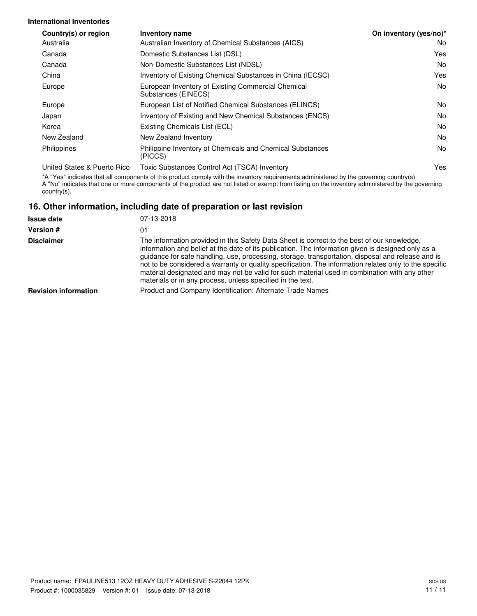## **International Inventories**

| Country(s) or region        | <b>Inventory name</b>                                                     | On inventory (yes/no)* |
|-----------------------------|---------------------------------------------------------------------------|------------------------|
| Australia                   | Australian Inventory of Chemical Substances (AICS)                        | No                     |
| Canada                      | Domestic Substances List (DSL)                                            | Yes                    |
| Canada                      | Non-Domestic Substances List (NDSL)                                       | No                     |
| China                       | Inventory of Existing Chemical Substances in China (IECSC)                | Yes                    |
| Europe                      | European Inventory of Existing Commercial Chemical<br>Substances (EINECS) | No                     |
| Europe                      | European List of Notified Chemical Substances (ELINCS)                    | No                     |
| Japan                       | Inventory of Existing and New Chemical Substances (ENCS)                  | No                     |
| Korea                       | Existing Chemicals List (ECL)                                             | No                     |
| New Zealand                 | New Zealand Inventory                                                     | No                     |
| Philippines                 | Philippine Inventory of Chemicals and Chemical Substances<br>(PICCS)      | No                     |
| United States & Puerto Rico | Toxic Substances Control Act (TSCA) Inventory                             | Yes                    |

\*A "Yes" indicates that all components of this product comply with the inventory requirements administered by the governing country(s) A "No" indicates that one or more components of the product are not listed or exempt from listing on the inventory administered by the governing country(s).

# **16. Other information, including date of preparation or last revision**

| <b>Issue date</b>           | 07-13-2018                                                                                                                                                                                                                                                                                                                                                                                                                                                                                                                                                                      |
|-----------------------------|---------------------------------------------------------------------------------------------------------------------------------------------------------------------------------------------------------------------------------------------------------------------------------------------------------------------------------------------------------------------------------------------------------------------------------------------------------------------------------------------------------------------------------------------------------------------------------|
| <b>Version #</b>            | 01                                                                                                                                                                                                                                                                                                                                                                                                                                                                                                                                                                              |
| <b>Disclaimer</b>           | The information provided in this Safety Data Sheet is correct to the best of our knowledge.<br>information and belief at the date of its publication. The information given is designed only as a<br>guidance for safe handling, use, processing, storage, transportation, disposal and release and is<br>not to be considered a warranty or quality specification. The information relates only to the specific<br>material designated and may not be valid for such material used in combination with any other<br>materials or in any process, unless specified in the text. |
| <b>Revision information</b> | Product and Company Identification: Alternate Trade Names                                                                                                                                                                                                                                                                                                                                                                                                                                                                                                                       |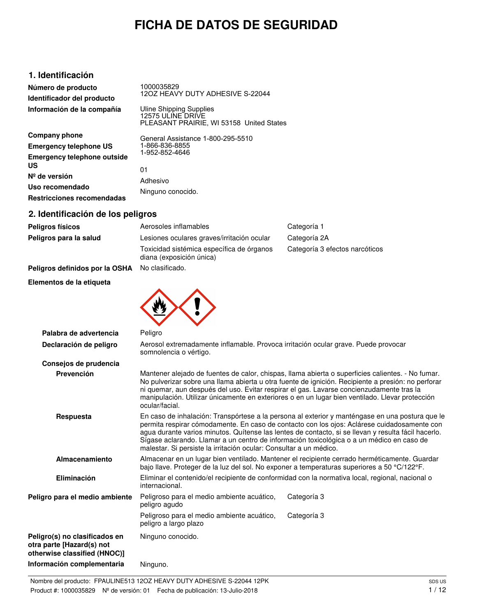# **FICHA DE DATOS DE SEGURIDAD**

# **1. Identificación**

**Número de producto Identificador del producto Información de la compañía** 1000035829 12OZ HEAVY DUTY ADHESIVE S-22044 Uline Shipping Supplies 12575 ULINE DRIVE PLEASANT PRAIRIE, WI 53158 United States

| Company phone                            |
|------------------------------------------|
| <b>Emergency telephone US</b>            |
| <b>Emergency telephone outside</b><br>US |
| $N^{\circ}$ de versión                   |
| Uso recomendado                          |
| Restricciones recomendadas               |

General Assistance 1-800-295-5510 1-866-836-8855 1-952-852-4646

01 Adhesivo Ninguno conocido.

# **2. Identificación de los peligros**

| 2. Identificación de los pengros |                                                                       |                                |
|----------------------------------|-----------------------------------------------------------------------|--------------------------------|
| <b>Peligros físicos</b>          | Aerosoles inflamables                                                 | Categoría 1                    |
| Peligros para la salud           | Lesiones oculares graves/irritación ocular                            | Categoría 2A                   |
|                                  | Toxicidad sistémica específica de órganos<br>diana (exposición única) | Categoría 3 efectos narcóticos |
| Peligros definidos por la OSHA   | No clasificado.                                                       |                                |
| Elementos de la etiqueta         |                                                                       |                                |
|                                  |                                                                       |                                |

| Palabra de advertencia                                                                     | Peligro                                                                                                                                                                                                                                                                                                                                                                                                                                                                  |                                                                                                 |  |
|--------------------------------------------------------------------------------------------|--------------------------------------------------------------------------------------------------------------------------------------------------------------------------------------------------------------------------------------------------------------------------------------------------------------------------------------------------------------------------------------------------------------------------------------------------------------------------|-------------------------------------------------------------------------------------------------|--|
| Declaración de peligro                                                                     | Aerosol extremadamente inflamable. Provoca irritación ocular grave. Puede provocar<br>somnolencia o vértigo.                                                                                                                                                                                                                                                                                                                                                             |                                                                                                 |  |
| Consejos de prudencia                                                                      |                                                                                                                                                                                                                                                                                                                                                                                                                                                                          |                                                                                                 |  |
| Prevención                                                                                 | Mantener alejado de fuentes de calor, chispas, llama abierta o superficies calientes. - No fumar.<br>No pulverizar sobre una llama abierta u otra fuente de ignición. Recipiente a presión: no perforar<br>ni quemar, aun después del uso. Evitar respirar el gas. Lavarse concienzudamente tras la<br>manipulación. Utilizar únicamente en exteriores o en un lugar bien ventilado. Llevar protección<br>ocular/facial.                                                 |                                                                                                 |  |
| Respuesta                                                                                  | En caso de inhalación: Transpórtese a la persona al exterior y manténgase en una postura que le<br>permita respirar cómodamente. En caso de contacto con los ojos: Aclárese cuidadosamente con<br>agua durante varios minutos. Quítense las lentes de contacto, si se llevan y resulta fácil hacerlo.<br>Sígase aclarando. Llamar a un centro de información toxicológica o a un médico en caso de<br>malestar. Si persiste la irritación ocular: Consultar a un médico. |                                                                                                 |  |
| Almacenamiento                                                                             | Almacenar en un lugar bien ventilado. Mantener el recipiente cerrado herméticamente. Guardar<br>bajo llave. Proteger de la luz del sol. No exponer a temperaturas superiores a 50 °C/122°F.                                                                                                                                                                                                                                                                              |                                                                                                 |  |
| <b>Eliminación</b>                                                                         | internacional.                                                                                                                                                                                                                                                                                                                                                                                                                                                           | Eliminar el contenido/el recipiente de conformidad con la normativa local, regional, nacional o |  |
| Peligro para el medio ambiente                                                             | Peligroso para el medio ambiente acuático,<br>peligro agudo                                                                                                                                                                                                                                                                                                                                                                                                              | Categoría 3                                                                                     |  |
|                                                                                            | Peligroso para el medio ambiente acuático,<br>peligro a largo plazo                                                                                                                                                                                                                                                                                                                                                                                                      | Categoría 3                                                                                     |  |
| Peligro(s) no clasificados en<br>otra parte [Hazard(s) not<br>otherwise classified (HNOC)] | Ninguno conocido.                                                                                                                                                                                                                                                                                                                                                                                                                                                        |                                                                                                 |  |
| Información complementaria                                                                 | Ninguno.                                                                                                                                                                                                                                                                                                                                                                                                                                                                 |                                                                                                 |  |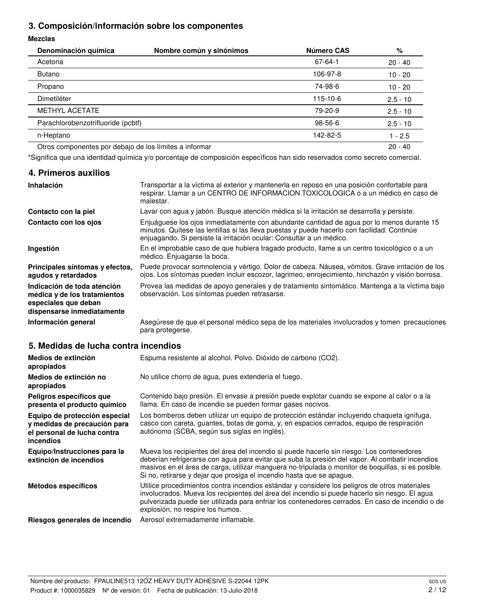# **3. Composición/información sobre los componentes**

## **Mezclas**

| Denominación química                                   | Nombre común y sinónimos | Número CAS    | %          |
|--------------------------------------------------------|--------------------------|---------------|------------|
| Acetona                                                |                          | $67 - 64 - 1$ | $20 - 40$  |
| Butano                                                 |                          | 106-97-8      | $10 - 20$  |
| Propano                                                |                          | 74-98-6       | $10 - 20$  |
| Dimetiléter                                            |                          | 115-10-6      | $2.5 - 10$ |
| <b>METHYL ACETATE</b>                                  |                          | 79-20-9       | $2.5 - 10$ |
| Parachlorobenzotrifluoride (pcbtf)                     |                          | 98-56-6       | $2.5 - 10$ |
| n-Heptano                                              |                          | 142-82-5      | $1 - 2.5$  |
| Otros componentes por debajo de los límites a informar |                          |               | $20 - 40$  |

\*Significa que una identidad química y/o porcentaje de composición específicos han sido reservados como secreto comercial.

# **4. Primeros auxilios**

| Inhalación                                                                                                        | Transportar a la víctima al exterior y mantenerla en reposo en una posición confortable para<br>respirar. Llamar a un CENTRO DE INFORMACION TOXICOLOGICA o a un médico en caso de<br>malestar.                                                                   |
|-------------------------------------------------------------------------------------------------------------------|------------------------------------------------------------------------------------------------------------------------------------------------------------------------------------------------------------------------------------------------------------------|
| Contacto con la piel                                                                                              | Lavar con agua y jabón. Busque atención médica si la irritación se desarrolla y persiste.                                                                                                                                                                        |
| Contacto con los ojos                                                                                             | Enjuáguese los ojos inmediatamente con abundante cantidad de agua por lo menos durante 15<br>minutos. Quítese las lentillas si las lleva puestas y puede hacerlo con facilidad. Continúe<br>enjuagando. Si persiste la irritación ocular: Consultar a un médico. |
| Ingestión                                                                                                         | En el improbable caso de que hubiera tragado producto, llame a un centro toxicológico o a un<br>médico. Enjuagarse la boca.                                                                                                                                      |
| Principales síntomas y efectos.<br>agudos y retardados                                                            | Puede provocar somnolencia y vértigo. Dolor de cabeza. Náusea, vómitos. Grave irritación de los<br>ojos. Los síntomas pueden incluir escozor, lagrimeo, enrojecimiento, hinchazón y visión borrosa.                                                              |
| Indicación de toda atención<br>médica y de los tratamientos<br>especiales que deban<br>dispensarse inmediatamente | Provea las medidas de apoyo generales y de tratamiento sintomático. Mantenga a la víctima bajo<br>observación. Los síntomas pueden retrasarse.                                                                                                                   |
| Información general                                                                                               | Asegúrese de que el personal médico sepa de los materiales involucrados y tomen precauciones<br>para protegerse.                                                                                                                                                 |

# **5. Medidas de lucha contra incendios**

| Medios de extinción<br>apropiados                                                                         | Espuma resistente al alcohol. Polvo. Dióxido de carbono (CO2).                                                                                                                                                                                                                                                                                                              |
|-----------------------------------------------------------------------------------------------------------|-----------------------------------------------------------------------------------------------------------------------------------------------------------------------------------------------------------------------------------------------------------------------------------------------------------------------------------------------------------------------------|
| Medios de extinción no<br>apropiados                                                                      | No utilice chorro de agua, pues extendería el fuego.                                                                                                                                                                                                                                                                                                                        |
| Peligros específicos que<br>presenta el producto químico                                                  | Contenido bajo presión. El envase a presión puede explotar cuando se expone al calor o a la<br>Ilama. En caso de incendio se pueden formar gases nocivos.                                                                                                                                                                                                                   |
| Equipo de protección especial<br>y medidas de precaución para<br>el personal de lucha contra<br>incendios | Los bomberos deben utilizar un equipo de protección estándar incluyendo chaqueta ignífuga,<br>casco con careta, guantes, botas de goma, y, en espacios cerrados, equipo de respiración<br>autónomo (SCBA, según sus siglas en inglés).                                                                                                                                      |
| Equipo/Instrucciones para la<br>extinción de incendios                                                    | Mueva los recipientes del área del incendio si puede hacerlo sin riesgo. Los contenedores<br>deberían refrigerarse con agua para evitar que suba la presión del vapor. Al combatir incendios<br>masivos en el área de carga, utilizar manguera no-tripulada o monitor de boquillas, si es posible.<br>Si no, retirarse y dejar que prosiga el incendio hasta que se apague. |
| Métodos específicos                                                                                       | Utilice procedimientos contra incendios estándar y considere los peligros de otros materiales<br>involucrados. Mueva los recipientes del área del incendio si puede hacerlo sin riesgo. El agua<br>pulverizada puede ser utilizada para enfriar los contenedores cerrados. En caso de incendio o de<br>explosión, no respire los humos.                                     |
| Riesgos generales de incendio                                                                             | Aerosol extremadamente inflamable.                                                                                                                                                                                                                                                                                                                                          |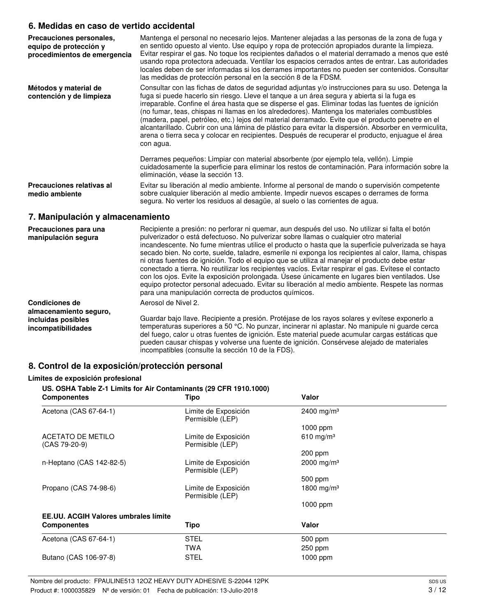# **6. Medidas en caso de vertido accidental**

| Precauciones personales,<br>equipo de protección y<br>procedimientos de emergencia | Mantenga el personal no necesario lejos. Mantener alejadas a las personas de la zona de fuga y<br>en sentido opuesto al viento. Use equipo y ropa de protección apropiados durante la limpieza.<br>Evitar respirar el gas. No toque los recipientes dañados o el material derramado a menos que esté<br>usando ropa protectora adecuada. Ventilar los espacios cerrados antes de entrar. Las autoridades<br>locales deben de ser informadas si los derrames importantes no pueden ser contenidos. Consultar<br>las medidas de protección personal en la sección 8 de la FDSM.                                                                                                                                                       |
|------------------------------------------------------------------------------------|-------------------------------------------------------------------------------------------------------------------------------------------------------------------------------------------------------------------------------------------------------------------------------------------------------------------------------------------------------------------------------------------------------------------------------------------------------------------------------------------------------------------------------------------------------------------------------------------------------------------------------------------------------------------------------------------------------------------------------------|
| Métodos y material de<br>contención y de limpieza                                  | Consultar con las fichas de datos de seguridad adjuntas y/o instrucciones para su uso. Detenga la<br>fuga si puede hacerlo sin riesgo. Lleve el tanque a un área segura y abierta si la fuga es<br>irreparable. Confine el área hasta que se disperse el gas. Eliminar todas las fuentes de ignición<br>(no fumar, teas, chispas ni llamas en los alrededores). Mantenga los materiales combustibles<br>(madera, papel, petróleo, etc.) lejos del material derramado. Evite que el producto penetre en el<br>alcantarillado. Cubrir con una lámina de plástico para evitar la dispersión. Absorber en vermiculita,<br>arena o tierra seca y colocar en recipientes. Después de recuperar el producto, enjuague el área<br>con agua. |
|                                                                                    | Derrames pequeños: Limpiar con material absorbente (por ejemplo tela, vellón). Limpie<br>cuidadosamente la superficie para eliminar los restos de contaminación. Para información sobre la<br>eliminación, véase la sección 13.                                                                                                                                                                                                                                                                                                                                                                                                                                                                                                     |
| Precauciones relativas al<br>medio ambiente                                        | Evitar su liberación al medio ambiente. Informe al personal de mando o supervisión competente<br>sobre cualquier liberación al medio ambiente. Impedir nuevos escapes o derrames de forma<br>segura. No verter los residuos al desagüe, al suelo o las corrientes de agua.                                                                                                                                                                                                                                                                                                                                                                                                                                                          |

# **7. Manipulación y almacenamiento**

| Precauciones para una<br>manipulación segura    | Recipiente a presión: no perforar ni quemar, aun después del uso. No utilizar si falta el botón<br>pulverizador o está defectuoso. No pulverizar sobre llamas o cualquier otro material<br>incandescente. No fume mientras utilice el producto o hasta que la superficie pulverizada se haya<br>secado bien. No corte, suelde, taladre, esmerile ni exponga los recipientes al calor, llama, chispas<br>ni otras fuentes de ignición. Todo el equipo que se utiliza al manejar el producto debe estar<br>conectado a tierra. No reutilizar los recipientes vacíos. Evitar respirar el gas. Evítese el contacto<br>con los ojos. Evite la exposición prolongada. Usese únicamente en lugares bien ventilados. Use<br>equipo protector personal adecuado. Evitar su liberación al medio ambiente. Respete las normas<br>para una manipulación correcta de productos químicos. |
|-------------------------------------------------|-----------------------------------------------------------------------------------------------------------------------------------------------------------------------------------------------------------------------------------------------------------------------------------------------------------------------------------------------------------------------------------------------------------------------------------------------------------------------------------------------------------------------------------------------------------------------------------------------------------------------------------------------------------------------------------------------------------------------------------------------------------------------------------------------------------------------------------------------------------------------------|
| <b>Condiciones de</b><br>almacenamiento seguro, | Aerosol de Nivel 2.                                                                                                                                                                                                                                                                                                                                                                                                                                                                                                                                                                                                                                                                                                                                                                                                                                                         |
| incluidas posibles<br>incompatibilidades        | Guardar bajo llave. Recipiente a presión. Protéjase de los rayos solares y evítese exponerlo a<br>temperaturas superiores a 50 °C. No punzar, incinerar ni aplastar. No manipule ni quarde cerca<br>del fuego, calor u otras fuentes de ignición. Este material puede acumular cargas estáticas que<br>pueden causar chispas y volverse una fuente de ignición. Consérvese alejado de materiales<br>incompatibles (consulte la sección 10 de la FDS).                                                                                                                                                                                                                                                                                                                                                                                                                       |

# **8. Control de la exposición/protección personal**

## **Límites de exposición profesional**

| US. OSHA Table Z-1 Limits for Air Contaminants (29 CFR 1910.1000)<br><b>Componentes</b> | Tipo                                     | Valor                   |  |
|-----------------------------------------------------------------------------------------|------------------------------------------|-------------------------|--|
| Acetona (CAS 67-64-1)                                                                   | Limite de Exposición<br>Permisible (LEP) | 2400 mg/m <sup>3</sup>  |  |
|                                                                                         |                                          | $1000$ ppm              |  |
| ACETATO DE METILO<br>$(CAS 79-20-9)$                                                    | Limite de Exposición<br>Permisible (LEP) | 610 mg/m <sup>3</sup>   |  |
|                                                                                         |                                          | 200 ppm                 |  |
| n-Heptano (CAS 142-82-5)                                                                | Limite de Exposición<br>Permisible (LEP) | $2000 \; \text{mg/m}^3$ |  |
|                                                                                         |                                          | 500 ppm                 |  |
| Propano (CAS 74-98-6)                                                                   | Limite de Exposición<br>Permisible (LEP) | 1800 mg/m <sup>3</sup>  |  |
|                                                                                         |                                          | $1000$ ppm              |  |
| <b>EE.UU. ACGIH Valores umbrales límite</b>                                             |                                          |                         |  |
| <b>Componentes</b>                                                                      | Tipo                                     | Valor                   |  |
| Acetona (CAS 67-64-1)                                                                   | <b>STEL</b>                              | 500 ppm                 |  |
|                                                                                         | <b>TWA</b>                               | $250$ ppm               |  |
| Butano (CAS 106-97-8)                                                                   | <b>STEL</b>                              | $1000$ ppm              |  |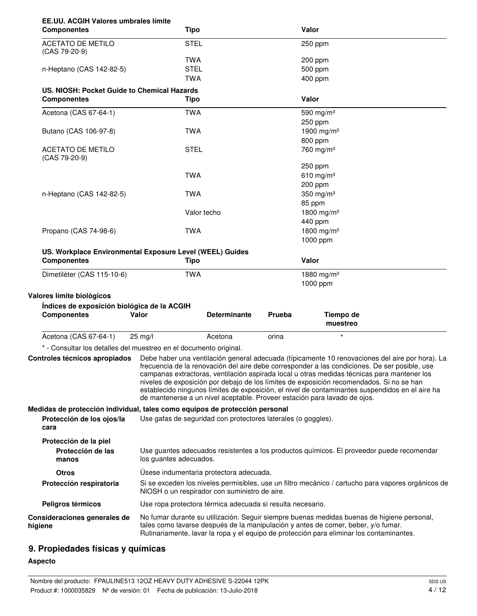|                                                                                                                  | Tipo                                                                                                        |                     |        | Valor                                                                                                                                                                                                                                                                                                                                                                                                                                                                                                                                                                       |
|------------------------------------------------------------------------------------------------------------------|-------------------------------------------------------------------------------------------------------------|---------------------|--------|-----------------------------------------------------------------------------------------------------------------------------------------------------------------------------------------------------------------------------------------------------------------------------------------------------------------------------------------------------------------------------------------------------------------------------------------------------------------------------------------------------------------------------------------------------------------------------|
| <b>ACETATO DE METILO</b><br>(CAS 79-20-9)                                                                        | <b>STEL</b>                                                                                                 |                     |        | 250 ppm                                                                                                                                                                                                                                                                                                                                                                                                                                                                                                                                                                     |
|                                                                                                                  | <b>TWA</b>                                                                                                  |                     |        | 200 ppm                                                                                                                                                                                                                                                                                                                                                                                                                                                                                                                                                                     |
| n-Heptano (CAS 142-82-5)                                                                                         | <b>STEL</b>                                                                                                 |                     |        | 500 ppm                                                                                                                                                                                                                                                                                                                                                                                                                                                                                                                                                                     |
|                                                                                                                  | <b>TWA</b>                                                                                                  |                     |        | 400 ppm                                                                                                                                                                                                                                                                                                                                                                                                                                                                                                                                                                     |
| US. NIOSH: Pocket Guide to Chemical Hazards                                                                      |                                                                                                             |                     |        |                                                                                                                                                                                                                                                                                                                                                                                                                                                                                                                                                                             |
| <b>Componentes</b>                                                                                               | Tipo                                                                                                        |                     |        | Valor                                                                                                                                                                                                                                                                                                                                                                                                                                                                                                                                                                       |
| Acetona (CAS 67-64-1)                                                                                            | <b>TWA</b>                                                                                                  |                     |        | 590 mg/m <sup>3</sup>                                                                                                                                                                                                                                                                                                                                                                                                                                                                                                                                                       |
|                                                                                                                  |                                                                                                             |                     |        | 250 ppm                                                                                                                                                                                                                                                                                                                                                                                                                                                                                                                                                                     |
| Butano (CAS 106-97-8)                                                                                            | <b>TWA</b>                                                                                                  |                     |        | 1900 mg/m <sup>3</sup>                                                                                                                                                                                                                                                                                                                                                                                                                                                                                                                                                      |
|                                                                                                                  |                                                                                                             |                     |        | 800 ppm                                                                                                                                                                                                                                                                                                                                                                                                                                                                                                                                                                     |
| <b>ACETATO DE METILO</b><br>$(CAS 79-20-9)$                                                                      | <b>STEL</b>                                                                                                 |                     |        | 760 mg/m <sup>3</sup>                                                                                                                                                                                                                                                                                                                                                                                                                                                                                                                                                       |
|                                                                                                                  |                                                                                                             |                     |        | 250 ppm                                                                                                                                                                                                                                                                                                                                                                                                                                                                                                                                                                     |
|                                                                                                                  | <b>TWA</b>                                                                                                  |                     |        | 610 mg/m $3$                                                                                                                                                                                                                                                                                                                                                                                                                                                                                                                                                                |
|                                                                                                                  |                                                                                                             |                     |        | 200 ppm                                                                                                                                                                                                                                                                                                                                                                                                                                                                                                                                                                     |
| n-Heptano (CAS 142-82-5)                                                                                         | <b>TWA</b>                                                                                                  |                     |        | 350 mg/m <sup>3</sup>                                                                                                                                                                                                                                                                                                                                                                                                                                                                                                                                                       |
|                                                                                                                  |                                                                                                             |                     |        | 85 ppm                                                                                                                                                                                                                                                                                                                                                                                                                                                                                                                                                                      |
|                                                                                                                  | Valor techo                                                                                                 |                     |        | 1800 mg/m <sup>3</sup>                                                                                                                                                                                                                                                                                                                                                                                                                                                                                                                                                      |
|                                                                                                                  |                                                                                                             |                     |        | 440 ppm                                                                                                                                                                                                                                                                                                                                                                                                                                                                                                                                                                     |
| Propano (CAS 74-98-6)                                                                                            | <b>TWA</b>                                                                                                  |                     |        | 1800 mg/m <sup>3</sup>                                                                                                                                                                                                                                                                                                                                                                                                                                                                                                                                                      |
|                                                                                                                  |                                                                                                             |                     |        | 1000 ppm                                                                                                                                                                                                                                                                                                                                                                                                                                                                                                                                                                    |
| US. Workplace Environmental Exposure Level (WEEL) Guides                                                         |                                                                                                             |                     |        |                                                                                                                                                                                                                                                                                                                                                                                                                                                                                                                                                                             |
| <b>Componentes</b>                                                                                               | Tipo                                                                                                        |                     |        | Valor                                                                                                                                                                                                                                                                                                                                                                                                                                                                                                                                                                       |
|                                                                                                                  |                                                                                                             |                     |        |                                                                                                                                                                                                                                                                                                                                                                                                                                                                                                                                                                             |
| Dimetiléter (CAS 115-10-6)                                                                                       | <b>TWA</b>                                                                                                  |                     |        | 1880 mg/m <sup>3</sup>                                                                                                                                                                                                                                                                                                                                                                                                                                                                                                                                                      |
|                                                                                                                  |                                                                                                             |                     |        | 1000 ppm                                                                                                                                                                                                                                                                                                                                                                                                                                                                                                                                                                    |
|                                                                                                                  |                                                                                                             |                     |        |                                                                                                                                                                                                                                                                                                                                                                                                                                                                                                                                                                             |
| Valores límite biológicos                                                                                        |                                                                                                             |                     |        |                                                                                                                                                                                                                                                                                                                                                                                                                                                                                                                                                                             |
| Índices de exposición biológica de la ACGIH<br><b>Componentes</b>                                                | Valor                                                                                                       | <b>Determinante</b> | Prueba | Tiempo de<br>muestreo                                                                                                                                                                                                                                                                                                                                                                                                                                                                                                                                                       |
| Acetona (CAS 67-64-1)                                                                                            | 25 mg/l                                                                                                     | Acetona             | orina  | $\star$                                                                                                                                                                                                                                                                                                                                                                                                                                                                                                                                                                     |
|                                                                                                                  |                                                                                                             |                     |        |                                                                                                                                                                                                                                                                                                                                                                                                                                                                                                                                                                             |
| * - Consultar los detalles del muestreo en el documento original.                                                |                                                                                                             |                     |        |                                                                                                                                                                                                                                                                                                                                                                                                                                                                                                                                                                             |
| Controles técnicos apropiados                                                                                    |                                                                                                             |                     |        | Debe haber una ventilación general adecuada (típicamente 10 renovaciones del aire por hora). La<br>frecuencia de la renovación del aire debe corresponder a las condiciones. De ser posible, use<br>campanas extractoras, ventilación aspirada local u otras medidas técnicas para mantener los<br>niveles de exposición por debajo de los límites de exposición recomendados. Si no se han<br>establecido ningunos límites de exposición, el nivel de contaminantes suspendidos en el aire ha<br>de mantenerse a un nivel aceptable. Proveer estación para lavado de ojos. |
|                                                                                                                  |                                                                                                             |                     |        |                                                                                                                                                                                                                                                                                                                                                                                                                                                                                                                                                                             |
| Medidas de protección individual, tales como equipos de protección personal<br>Protección de los ojos/la<br>cara | Use gafas de seguridad con protectores laterales (o goggles).                                               |                     |        |                                                                                                                                                                                                                                                                                                                                                                                                                                                                                                                                                                             |
| Protección de la piel<br>Protección de las<br>manos                                                              | los guantes adecuados.                                                                                      |                     |        | Use guantes adecuados resistentes a los productos químicos. El proveedor puede recomendar                                                                                                                                                                                                                                                                                                                                                                                                                                                                                   |
|                                                                                                                  |                                                                                                             |                     |        |                                                                                                                                                                                                                                                                                                                                                                                                                                                                                                                                                                             |
| <b>Otros</b><br>Protección respiratoria                                                                          | Úsese indumentaria protectora adecuada.                                                                     |                     |        | Si se exceden los niveles permisibles, use un filtro mecánico / cartucho para vapores orgánicos de                                                                                                                                                                                                                                                                                                                                                                                                                                                                          |
| Peligros térmicos                                                                                                | NIOSH o un respirador con suministro de aire.<br>Use ropa protectora térmica adecuada si resulta necesario. |                     |        |                                                                                                                                                                                                                                                                                                                                                                                                                                                                                                                                                                             |

# **9. Propiedades físicas y químicas**

# **Aspecto**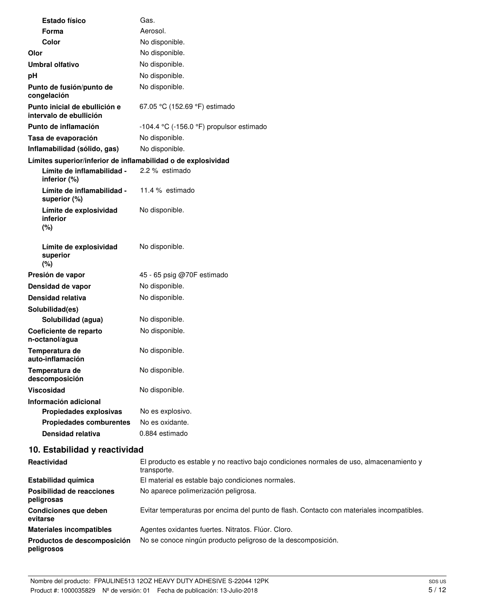| <b>Estado físico</b>                                          | Gas.                                     |
|---------------------------------------------------------------|------------------------------------------|
| Forma                                                         | Aerosol.                                 |
| Color                                                         | No disponible.                           |
| Olor                                                          | No disponible.                           |
| <b>Umbral olfativo</b>                                        | No disponible.                           |
| рH                                                            | No disponible.                           |
| Punto de fusión/punto de<br>congelación                       | No disponible.                           |
| Punto inicial de ebullición e<br>intervalo de ebullición      | 67.05 °C (152.69 °F) estimado            |
| Punto de inflamación                                          | -104.4 °C (-156.0 °F) propulsor estimado |
| Tasa de evaporación                                           | No disponible.                           |
| Inflamabilidad (sólido, gas)                                  | No disponible.                           |
| Límites superior/inferior de inflamabilidad o de explosividad |                                          |
| Límite de inflamabilidad -<br>inferior (%)                    | 2.2 % estimado                           |
| Límite de inflamabilidad -<br>superior (%)                    | 11.4 % estimado                          |
| Límite de explosividad<br>inferior<br>(%)                     | No disponible.                           |
| Límite de explosividad<br>superior<br>(%)                     | No disponible.                           |
| Presión de vapor                                              | 45 - 65 psig @70F estimado               |
| Densidad de vapor                                             | No disponible.                           |
| <b>Densidad relativa</b>                                      | No disponible.                           |
| Solubilidad(es)                                               |                                          |
| Solubilidad (agua)                                            | No disponible.                           |
| Coeficiente de reparto<br>n-octanol/agua                      | No disponible.                           |
| Temperatura de<br>auto-inflamación                            | No disponible.                           |
| Temperatura de<br>descomposición                              | No disponible.                           |
| Viscosidad                                                    | No disponible.                           |
| Información adicional                                         |                                          |
| Propiedades explosivas                                        | No es explosivo.                         |
| <b>Propiedades comburentes</b>                                | No es oxidante.                          |
| Densidad relativa                                             | 0.884 estimado                           |
| 10. Estabilidad y reactividad                                 |                                          |
|                                                               |                                          |

| <b>Reactividad</b>                        | El producto es estable y no reactivo bajo condiciones normales de uso, almacenamiento y<br>transporte. |
|-------------------------------------------|--------------------------------------------------------------------------------------------------------|
| Estabilidad química                       | El material es estable bajo condiciones normales.                                                      |
| Posibilidad de reacciones<br>peligrosas   | No aparece polimerización peligrosa.                                                                   |
| Condiciones que deben<br>evitarse         | Evitar temperaturas por encima del punto de flash. Contacto con materiales incompatibles.              |
| <b>Materiales incompatibles</b>           | Agentes oxidantes fuertes. Nitratos. Flúor. Cloro.                                                     |
| Productos de descomposición<br>peligrosos | No se conoce ningún producto peligroso de la descomposición.                                           |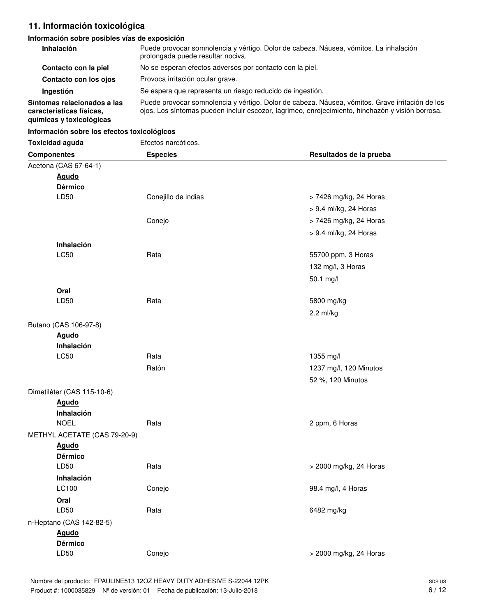# **11. Información toxicológica**

# **Información sobre posibles vías de exposición**

| <b>Inhalación</b>                                                                   | Puede provocar somnolencia y vértigo. Dolor de cabeza. Náusea, vómitos. La inhalación<br>prolongada puede resultar nociva.                                                                          |
|-------------------------------------------------------------------------------------|-----------------------------------------------------------------------------------------------------------------------------------------------------------------------------------------------------|
| Contacto con la piel                                                                | No se esperan efectos adversos por contacto con la piel.                                                                                                                                            |
| Contacto con los ojos                                                               | Provoca irritación ocular grave.                                                                                                                                                                    |
| Ingestión                                                                           | Se espera que representa un riesgo reducido de ingestión.                                                                                                                                           |
| Síntomas relacionados a las<br>características físicas.<br>guímicas y toxicológicas | Puede provocar somnolencia y vértigo. Dolor de cabeza. Náusea, vómitos. Grave irritación de los<br>ojos. Los síntomas pueden incluir escozor, lagrimeo, enrojecimiento, hinchazón y visión borrosa. |

## **Información sobre los efectos toxicológicos**

| <b>Toxicidad aguda</b>       | Efectos narcóticos. |                         |
|------------------------------|---------------------|-------------------------|
| <b>Componentes</b>           | <b>Especies</b>     | Resultados de la prueba |
| Acetona (CAS 67-64-1)        |                     |                         |
| <b>Agudo</b>                 |                     |                         |
| <b>Dérmico</b>               |                     |                         |
| LD50                         | Conejillo de indias | > 7426 mg/kg, 24 Horas  |
|                              |                     | > 9.4 ml/kg, 24 Horas   |
|                              | Conejo              | > 7426 mg/kg, 24 Horas  |
|                              |                     | > 9.4 ml/kg, 24 Horas   |
| Inhalación                   |                     |                         |
| LC50                         | Rata                | 55700 ppm, 3 Horas      |
|                              |                     | 132 mg/l, 3 Horas       |
|                              |                     | 50.1 mg/l               |
| Oral                         |                     |                         |
| LD50                         | Rata                | 5800 mg/kg              |
|                              |                     | $2.2$ ml/kg             |
| Butano (CAS 106-97-8)        |                     |                         |
| <b>Agudo</b>                 |                     |                         |
| Inhalación                   |                     |                         |
| LC50                         | Rata                | 1355 mg/l               |
|                              | Ratón               | 1237 mg/l, 120 Minutos  |
|                              |                     | 52 %, 120 Minutos       |
| Dimetiléter (CAS 115-10-6)   |                     |                         |
| <b>Agudo</b>                 |                     |                         |
| Inhalación<br><b>NOEL</b>    | Rata                | 2 ppm, 6 Horas          |
| METHYL ACETATE (CAS 79-20-9) |                     |                         |
| <b>Agudo</b>                 |                     |                         |
| <b>Dérmico</b>               |                     |                         |
| LD50                         | Rata                | > 2000 mg/kg, 24 Horas  |
| Inhalación                   |                     |                         |
| LC100                        | Conejo              | 98.4 mg/l, 4 Horas      |
| Oral                         |                     |                         |
| LD50                         | Rata                | 6482 mg/kg              |
| n-Heptano (CAS 142-82-5)     |                     |                         |
| <b>Agudo</b>                 |                     |                         |
| <b>Dérmico</b>               |                     |                         |
| LD50                         | Conejo              | > 2000 mg/kg, 24 Horas  |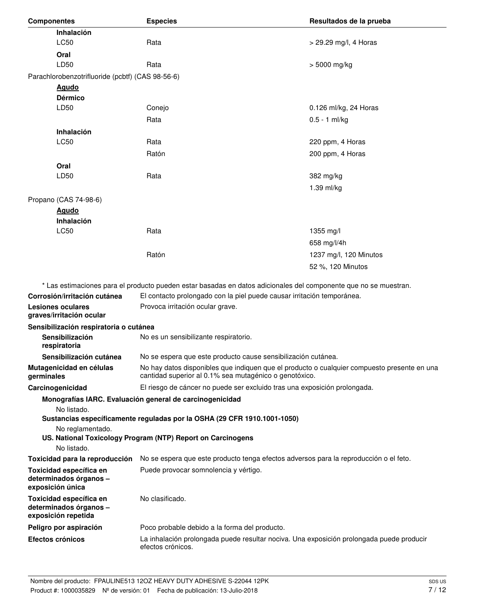| <b>Componentes</b>                                                       | <b>Especies</b>                                                                                                                                       | Resultados de la prueba |
|--------------------------------------------------------------------------|-------------------------------------------------------------------------------------------------------------------------------------------------------|-------------------------|
| Inhalación                                                               |                                                                                                                                                       |                         |
| LC50                                                                     | Rata                                                                                                                                                  | > 29.29 mg/l, 4 Horas   |
| Oral                                                                     |                                                                                                                                                       |                         |
| LD50                                                                     | Rata                                                                                                                                                  | > 5000 mg/kg            |
| Parachlorobenzotrifluoride (pcbtf) (CAS 98-56-6)                         |                                                                                                                                                       |                         |
| <u>Agudo</u>                                                             |                                                                                                                                                       |                         |
| <b>Dérmico</b>                                                           |                                                                                                                                                       |                         |
| LD50                                                                     | Conejo                                                                                                                                                | 0.126 ml/kg, 24 Horas   |
|                                                                          | Rata                                                                                                                                                  | $0.5 - 1$ ml/kg         |
| Inhalación                                                               |                                                                                                                                                       |                         |
| LC50                                                                     | Rata                                                                                                                                                  | 220 ppm, 4 Horas        |
|                                                                          | Ratón                                                                                                                                                 | 200 ppm, 4 Horas        |
| Oral                                                                     |                                                                                                                                                       |                         |
| LD50                                                                     | Rata                                                                                                                                                  | 382 mg/kg               |
|                                                                          |                                                                                                                                                       | 1.39 ml/kg              |
| Propano (CAS 74-98-6)                                                    |                                                                                                                                                       |                         |
| <b>Agudo</b>                                                             |                                                                                                                                                       |                         |
| Inhalación                                                               |                                                                                                                                                       |                         |
| LC50                                                                     | Rata                                                                                                                                                  | 1355 mg/l               |
|                                                                          |                                                                                                                                                       | 658 mg/l/4h             |
|                                                                          | Ratón                                                                                                                                                 | 1237 mg/l, 120 Minutos  |
|                                                                          |                                                                                                                                                       | 52 %, 120 Minutos       |
|                                                                          |                                                                                                                                                       |                         |
|                                                                          | * Las estimaciones para el producto pueden estar basadas en datos adicionales del componente que no se muestran.                                      |                         |
| Corrosión/irritación cutánea                                             | El contacto prolongado con la piel puede causar irritación temporánea.                                                                                |                         |
| <b>Lesiones oculares</b><br>graves/irritación ocular                     | Provoca irritación ocular grave.                                                                                                                      |                         |
| Sensibilización respiratoria o cutánea                                   |                                                                                                                                                       |                         |
| Sensibilización<br>respiratoria                                          | No es un sensibilizante respiratorio.                                                                                                                 |                         |
| Sensibilización cutánea                                                  | No se espera que este producto cause sensibilización cutánea.                                                                                         |                         |
| Mutagenicidad en células<br>germinales                                   | No hay datos disponibles que indiquen que el producto o cualquier compuesto presente en una<br>cantidad superior al 0.1% sea mutagénico o genotóxico. |                         |
| Carcinogenicidad                                                         | El riesgo de cáncer no puede ser excluido tras una exposición prolongada.                                                                             |                         |
|                                                                          | Monografías IARC. Evaluación general de carcinogenicidad                                                                                              |                         |
| No listado.                                                              |                                                                                                                                                       |                         |
|                                                                          | Sustancias específicamente reguladas por la OSHA (29 CFR 1910.1001-1050)                                                                              |                         |
| No reglamentado.<br>No listado.                                          | US. National Toxicology Program (NTP) Report on Carcinogens                                                                                           |                         |
| Toxicidad para la reproducción                                           | No se espera que este producto tenga efectos adversos para la reproducción o el feto.                                                                 |                         |
|                                                                          | Puede provocar somnolencia y vértigo.                                                                                                                 |                         |
| Toxicidad específica en<br>determinados órganos -<br>exposición única    |                                                                                                                                                       |                         |
| Toxicidad específica en<br>determinados órganos -<br>exposición repetida | No clasificado.                                                                                                                                       |                         |
| Peligro por aspiración                                                   | Poco probable debido a la forma del producto.                                                                                                         |                         |
| Efectos crónicos                                                         | La inhalación prolongada puede resultar nociva. Una exposición prolongada puede producir<br>efectos crónicos.                                         |                         |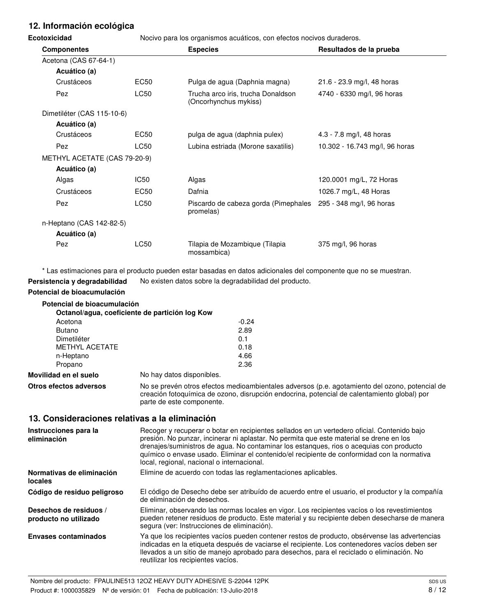# **12. Información ecológica**

**Ecotoxicidad** Nocivo para los organismos acuáticos, con efectos nocivos duraderos.

| ,,,,,,,,,,,,                 |                  |                                                                            |                                |  |
|------------------------------|------------------|----------------------------------------------------------------------------|--------------------------------|--|
| <b>Componentes</b>           |                  | <b>Especies</b>                                                            | Resultados de la prueba        |  |
| Acetona (CAS 67-64-1)        |                  |                                                                            |                                |  |
| Acuático (a)                 |                  |                                                                            |                                |  |
| Crustáceos                   | EC50             | Pulga de agua (Daphnia magna)                                              | 21.6 - 23.9 mg/l, 48 horas     |  |
| Pez                          | <b>LC50</b>      | Trucha arco iris, trucha Donaldson<br>(Oncorhynchus mykiss)                | 4740 - 6330 mg/l, 96 horas     |  |
| Dimetiléter (CAS 115-10-6)   |                  |                                                                            |                                |  |
| Acuático (a)                 |                  |                                                                            |                                |  |
| Crustáceos                   | EC50             | pulga de agua (daphnia pulex)                                              | 4.3 - 7.8 mg/l, 48 horas       |  |
| Pez                          | LC50             | Lubina estriada (Morone saxatilis)                                         | 10.302 - 16.743 mg/l, 96 horas |  |
| METHYL ACETATE (CAS 79-20-9) |                  |                                                                            |                                |  |
| Acuático (a)                 |                  |                                                                            |                                |  |
| Algas                        | IC <sub>50</sub> | Algas                                                                      | 120.0001 mg/L, 72 Horas        |  |
| Crustáceos                   | <b>EC50</b>      | Dafnia                                                                     | 1026.7 mg/L, 48 Horas          |  |
| Pez                          | LC50             | Piscardo de cabeza gorda (Pimephales 295 - 348 mg/l, 96 horas<br>promelas) |                                |  |
| n-Heptano (CAS 142-82-5)     |                  |                                                                            |                                |  |
| Acuático (a)                 |                  |                                                                            |                                |  |
| Pez                          | LC50             | Tilapia de Mozambique (Tilapia<br>mossambica)                              | 375 mg/l, 96 horas             |  |

\* Las estimaciones para el producto pueden estar basadas en datos adicionales del componente que no se muestran.

Persistencia y degradabilidad No existen datos sobre la degradabilidad del producto.

# **Potencial de bioacumulación**

| Potencial de bioacumulación |                                                        |
|-----------------------------|--------------------------------------------------------|
|                             | Octanol/agua, coeficiente de partición log Kow         |
| Acetona                     | $-0.24$                                                |
| <b>Butano</b>               | 2.89                                                   |
| Dimetiléter                 | 0.1                                                    |
| <b>METHYL ACETATE</b>       | 0.18                                                   |
| n-Heptano                   | 4.66                                                   |
| Propano                     | 2.36                                                   |
| Movilidad en el suelo       | No hay datos disponibles.                              |
| Otron ofooton advarage      | No se provén etres efectos medicambientales adverses e |

**Otros efectos adversos** No se prevén otros efectos medioambientales adversos (p.e. agotamiento del ozono, potencial de creación fotoquímica de ozono, disrupción endocrina, potencial de calentamiento global) por parte de este componente.

# **13. Consideraciones relativas a la eliminación**

| Instrucciones para la<br>eliminación            | Recoger y recuperar o botar en recipientes sellados en un vertedero oficial. Contenido bajo<br>presión. No punzar, incinerar ni aplastar. No permita que este material se drene en los<br>drenajes/suministros de agua. No contaminar los estangues, rios o aceguias con producto<br>químico o envase usado. Eliminar el contenido/el recipiente de conformidad con la normativa<br>local, regional, nacional o internacional. |
|-------------------------------------------------|--------------------------------------------------------------------------------------------------------------------------------------------------------------------------------------------------------------------------------------------------------------------------------------------------------------------------------------------------------------------------------------------------------------------------------|
| Normativas de eliminación<br><b>locales</b>     | Elimine de acuerdo con todas las reglamentaciones aplicables.                                                                                                                                                                                                                                                                                                                                                                  |
| Código de residuo peligroso                     | El código de Desecho debe ser atribuído de acuerdo entre el usuario, el productor y la compañía<br>de eliminación de desechos.                                                                                                                                                                                                                                                                                                 |
| Desechos de residuos /<br>producto no utilizado | Eliminar, observando las normas locales en vigor. Los recipientes vacíos o los revestimientos<br>pueden retener residuos de producto. Este material y su recipiente deben desecharse de manera<br>segura (ver: Instrucciones de eliminación).                                                                                                                                                                                  |
| <b>Envases contaminados</b>                     | Ya que los recipientes vacíos pueden contener restos de producto, obsérvense las advertencias<br>indicadas en la etiqueta después de vaciarse el recipiente. Los contenedores vacíos deben ser<br>llevados a un sitio de manejo aprobado para desechos, para el reciclado o eliminación. No<br>reutilizar los recipientes vacíos.                                                                                              |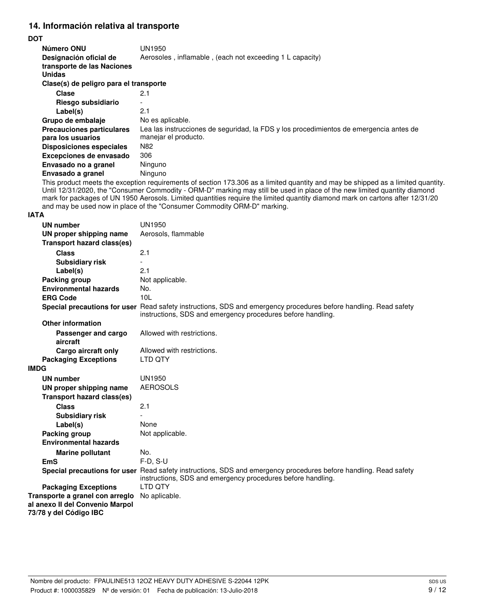# **14. Información relativa al transporte**

## **DOT**

| Número ONU                                                            | UN1950                                                                                                                     |  |  |
|-----------------------------------------------------------------------|----------------------------------------------------------------------------------------------------------------------------|--|--|
| Designación oficial de<br>transporte de las Naciones<br><b>Unidas</b> | Aerosoles, inflamable, (each not exceeding 1 L capacity)                                                                   |  |  |
| Clase(s) de peligro para el transporte                                |                                                                                                                            |  |  |
| Clase                                                                 | 2.1                                                                                                                        |  |  |
| Riesgo subsidiario                                                    |                                                                                                                            |  |  |
| Label(s)                                                              | 2.1                                                                                                                        |  |  |
| Grupo de embalaje                                                     | No es aplicable.                                                                                                           |  |  |
| <b>Precauciones particulares</b><br>para los usuarios                 | Lea las instrucciones de seguridad, la FDS y los procedimientos de emergencia antes de<br>manejar el producto.             |  |  |
| <b>Disposiciones especiales</b>                                       | N <sub>82</sub>                                                                                                            |  |  |
| Excepciones de envasado                                               | 306                                                                                                                        |  |  |
| Envasado no a granel                                                  | Ninguno                                                                                                                    |  |  |
| Envasado a granel                                                     | Ninguno                                                                                                                    |  |  |
|                                                                       | This product meets the exception requirements of section 173,306 as a limited quantity and may be shipped as a limited qua |  |  |

This product meets the exception requirements of section 173.306 as a limited quantity and may be shipped as a limited quantity. Until 12/31/2020, the "Consumer Commodity - ORM-D" marking may still be used in place of the new limited quantity diamond mark for packages of UN 1950 Aerosols. Limited quantities require the limited quantity diamond mark on cartons after 12/31/20 and may be used now in place of the "Consumer Commodity ORM-D" marking.

## **IATA**

| <b>UN number</b>                  | <b>UN1950</b>                                                                                                                                                                   |
|-----------------------------------|---------------------------------------------------------------------------------------------------------------------------------------------------------------------------------|
| UN proper shipping name           | Aerosols, flammable                                                                                                                                                             |
| <b>Transport hazard class(es)</b> |                                                                                                                                                                                 |
| <b>Class</b>                      | 2.1                                                                                                                                                                             |
| <b>Subsidiary risk</b>            |                                                                                                                                                                                 |
| Label(s)                          | 2.1                                                                                                                                                                             |
| Packing group                     | Not applicable.                                                                                                                                                                 |
| <b>Environmental hazards</b>      | No.                                                                                                                                                                             |
| <b>ERG Code</b>                   | 101                                                                                                                                                                             |
|                                   | Special precautions for user Read safety instructions, SDS and emergency procedures before handling. Read safety<br>instructions, SDS and emergency procedures before handling. |
| <b>Other information</b>          |                                                                                                                                                                                 |
| Passenger and cargo<br>aircraft   | Allowed with restrictions.                                                                                                                                                      |
| Cargo aircraft only               | Allowed with restrictions.                                                                                                                                                      |
| <b>Packaging Exceptions</b>       | LTD QTY                                                                                                                                                                         |
| <b>IMDG</b>                       |                                                                                                                                                                                 |
| <b>UN number</b>                  | <b>UN1950</b>                                                                                                                                                                   |
| UN proper shipping name           | <b>AEROSOLS</b>                                                                                                                                                                 |
| <b>Transport hazard class(es)</b> |                                                                                                                                                                                 |
| <b>Class</b>                      | 2.1                                                                                                                                                                             |
| <b>Subsidiary risk</b>            |                                                                                                                                                                                 |
| Label(s)                          | None                                                                                                                                                                            |
| Packing group                     | Not applicable.                                                                                                                                                                 |
| <b>Environmental hazards</b>      |                                                                                                                                                                                 |
| <b>Marine pollutant</b>           | No.                                                                                                                                                                             |
| <b>EmS</b>                        | $F-D, S-U$                                                                                                                                                                      |
|                                   | Special precautions for user Read safety instructions, SDS and emergency procedures before handling. Read safety<br>instructions, SDS and emergency procedures before handling. |
| <b>Packaging Exceptions</b>       | I TD OTY                                                                                                                                                                        |
| Transporte a granel con arreglo   | No aplicable.                                                                                                                                                                   |
| al anexo II del Convenio Marpol   |                                                                                                                                                                                 |
| 73/78 y del Código IBC            |                                                                                                                                                                                 |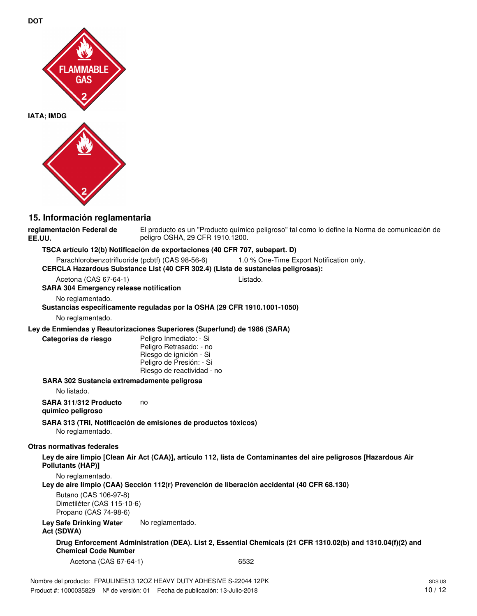

**DOT**

## **15. Información reglamentaria**

El producto es un "Producto químico peligroso" tal como lo define la Norma de comunicación de peligro OSHA, 29 CFR 1910.1200. **reglamentación Federal de EE.UU.**

## **TSCA artículo 12(b) Notificación de exportaciones (40 CFR 707, subapart. D)**

Parachlorobenzotrifluoride (pcbtf) (CAS 98-56-6) 1.0 % One-Time Export Notification only.

## **CERCLA Hazardous Substance List (40 CFR 302.4) (Lista de sustancias peligrosas):**

Acetona (CAS 67-64-1) Listado.

## **SARA 304 Emergency release notification**

No reglamentado.

# **Sustancias específicamente reguladas por la OSHA (29 CFR 1910.1001-1050)**

No reglamentado.

#### **Ley de Enmiendas y Reautorizaciones Superiores (Superfund) de 1986 (SARA)**

**Categorías de riesgo**

Peligro Inmediato: - Si Peligro Retrasado: - no Riesgo de ignición - Si Peligro de Presión: - Si Riesgo de reactividad - no

#### **SARA 302 Sustancia extremadamente peligrosa**

No listado.

**SARA 311/312 Producto** no

## **químico peligroso**

**SARA 313 (TRI, Notificación de emisiones de productos tóxicos)**

No reglamentado.

## **Otras normativas federales**

**Ley de aire limpio [Clean Air Act (CAA)], artículo 112, lista de Contaminantes del aire peligrosos [Hazardous Air Pollutants (HAP)]**

No reglamentado.

**Ley de aire limpio (CAA) Sección 112(r) Prevención de liberación accidental (40 CFR 68.130)**

Butano (CAS 106-97-8) Dimetiléter (CAS 115-10-6) Propano (CAS 74-98-6)

Ley Safe Drinking Water No reglamentado.

## **Act (SDWA)**

**Drug Enforcement Administration (DEA). List 2, Essential Chemicals (21 CFR 1310.02(b) and 1310.04(f)(2) and Chemical Code Number**

Acetona (CAS 67-64-1) 6532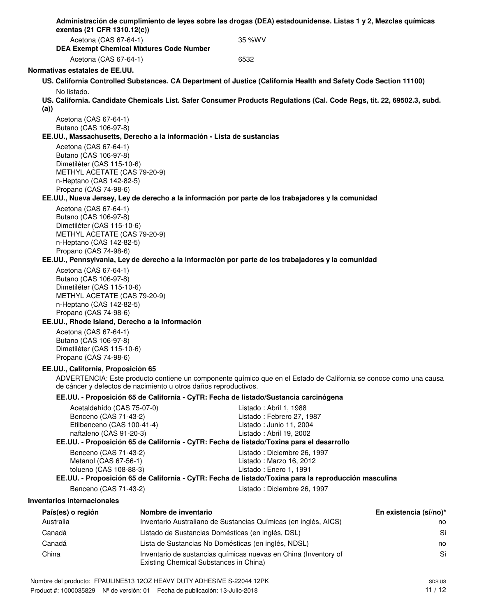| exentas (21 CFR 1310.12(c))                                                                                                              |                                        | Administración de cumplimiento de leyes sobre las drogas (DEA) estadounidense. Listas 1 y 2, Mezclas químicas                                                                                         |                        |
|------------------------------------------------------------------------------------------------------------------------------------------|----------------------------------------|-------------------------------------------------------------------------------------------------------------------------------------------------------------------------------------------------------|------------------------|
| Acetona (CAS 67-64-1)<br><b>DEA Exempt Chemical Mixtures Code Number</b>                                                                 |                                        | 35 %WV                                                                                                                                                                                                |                        |
| Acetona (CAS 67-64-1)                                                                                                                    |                                        | 6532                                                                                                                                                                                                  |                        |
| Normativas estatales de EE.UU.                                                                                                           |                                        |                                                                                                                                                                                                       |                        |
|                                                                                                                                          |                                        | US. California Controlled Substances. CA Department of Justice (California Health and Safety Code Section 11100)                                                                                      |                        |
| No listado.<br>(a))                                                                                                                      |                                        | US. California. Candidate Chemicals List. Safer Consumer Products Regulations (Cal. Code Regs, tit. 22, 69502.3, subd.                                                                                |                        |
| Acetona (CAS 67-64-1)                                                                                                                    |                                        |                                                                                                                                                                                                       |                        |
| Butano (CAS 106-97-8)                                                                                                                    |                                        |                                                                                                                                                                                                       |                        |
| EE.UU., Massachusetts, Derecho a la información - Lista de sustancias                                                                    |                                        |                                                                                                                                                                                                       |                        |
| Acetona (CAS 67-64-1)<br>Butano (CAS 106-97-8)<br>Dimetiléter (CAS 115-10-6)<br>METHYL ACETATE (CAS 79-20-9)<br>n-Heptano (CAS 142-82-5) |                                        |                                                                                                                                                                                                       |                        |
| Propano (CAS 74-98-6)                                                                                                                    |                                        |                                                                                                                                                                                                       |                        |
|                                                                                                                                          |                                        | EE.UU., Nueva Jersey, Ley de derecho a la información por parte de los trabajadores y la comunidad                                                                                                    |                        |
| Acetona (CAS 67-64-1)<br>Butano (CAS 106-97-8)<br>Dimetiléter (CAS 115-10-6)<br>METHYL ACETATE (CAS 79-20-9)<br>n-Heptano (CAS 142-82-5) |                                        |                                                                                                                                                                                                       |                        |
| Propano (CAS 74-98-6)                                                                                                                    |                                        | EE.UU., Pennsylvania, Ley de derecho a la información por parte de los trabajadores y la comunidad                                                                                                    |                        |
| Acetona (CAS 67-64-1)<br>Butano (CAS 106-97-8)                                                                                           |                                        |                                                                                                                                                                                                       |                        |
| Dimetiléter (CAS 115-10-6)<br>METHYL ACETATE (CAS 79-20-9)<br>n-Heptano (CAS 142-82-5)<br>Propano (CAS 74-98-6)                          |                                        |                                                                                                                                                                                                       |                        |
| EE.UU., Rhode Island, Derecho a la información                                                                                           |                                        |                                                                                                                                                                                                       |                        |
| Acetona (CAS 67-64-1)<br>Butano (CAS 106-97-8)<br>Dimetiléter (CAS 115-10-6)<br>Propano (CAS 74-98-6)                                    |                                        |                                                                                                                                                                                                       |                        |
| EE.UU., California, Proposición 65                                                                                                       |                                        |                                                                                                                                                                                                       |                        |
| de cáncer y defectos de nacimiento u otros daños reproductivos.                                                                          |                                        | ADVERTENCIA: Este producto contiene un componente químico que en el Estado de California se conoce como una causa                                                                                     |                        |
|                                                                                                                                          |                                        | EE.UU. - Proposición 65 de California - CyTR: Fecha de listado/Sustancia carcinógena                                                                                                                  |                        |
| Acetaldehído (CAS 75-07-0)<br>Benceno (CAS 71-43-2)<br>Etilbenceno (CAS 100-41-4)<br>naftaleno (CAS 91-20-3)                             |                                        | Listado: Abril 1, 1988<br>Listado: Febrero 27, 1987<br>Listado: Junio 11, 2004<br>Listado: Abril 19, 2002<br>EE.UU. - Proposición 65 de California - CyTR: Fecha de listado/Toxina para el desarrollo |                        |
| Benceno (CAS 71-43-2)                                                                                                                    |                                        | Listado: Diciembre 26, 1997                                                                                                                                                                           |                        |
| Metanol (CAS 67-56-1)<br>tolueno (CAS 108-88-3)                                                                                          |                                        | Listado: Marzo 16, 2012<br>Listado: Enero 1, 1991                                                                                                                                                     |                        |
|                                                                                                                                          |                                        | EE.UU. - Proposición 65 de California - CyTR: Fecha de listado/Toxina para la reproducción masculina                                                                                                  |                        |
| Benceno (CAS 71-43-2)                                                                                                                    |                                        | Listado: Diciembre 26, 1997                                                                                                                                                                           |                        |
| <b>Inventarios internacionales</b>                                                                                                       |                                        |                                                                                                                                                                                                       |                        |
| País(es) o región                                                                                                                        | Nombre de inventario                   |                                                                                                                                                                                                       | En existencia (sí/no)* |
| Australia                                                                                                                                |                                        | Inventario Australiano de Sustancias Químicas (en inglés, AICS)                                                                                                                                       | no                     |
| Canadá                                                                                                                                   |                                        | Listado de Sustancias Domésticas (en inglés, DSL)                                                                                                                                                     | Si                     |
| Canadá                                                                                                                                   |                                        | Lista de Sustancias No Domésticas (en inglés, NDSL)                                                                                                                                                   | no                     |
| China                                                                                                                                    | Existing Chemical Substances in China) | Inventario de sustancias químicas nuevas en China (Inventory of                                                                                                                                       | Si                     |